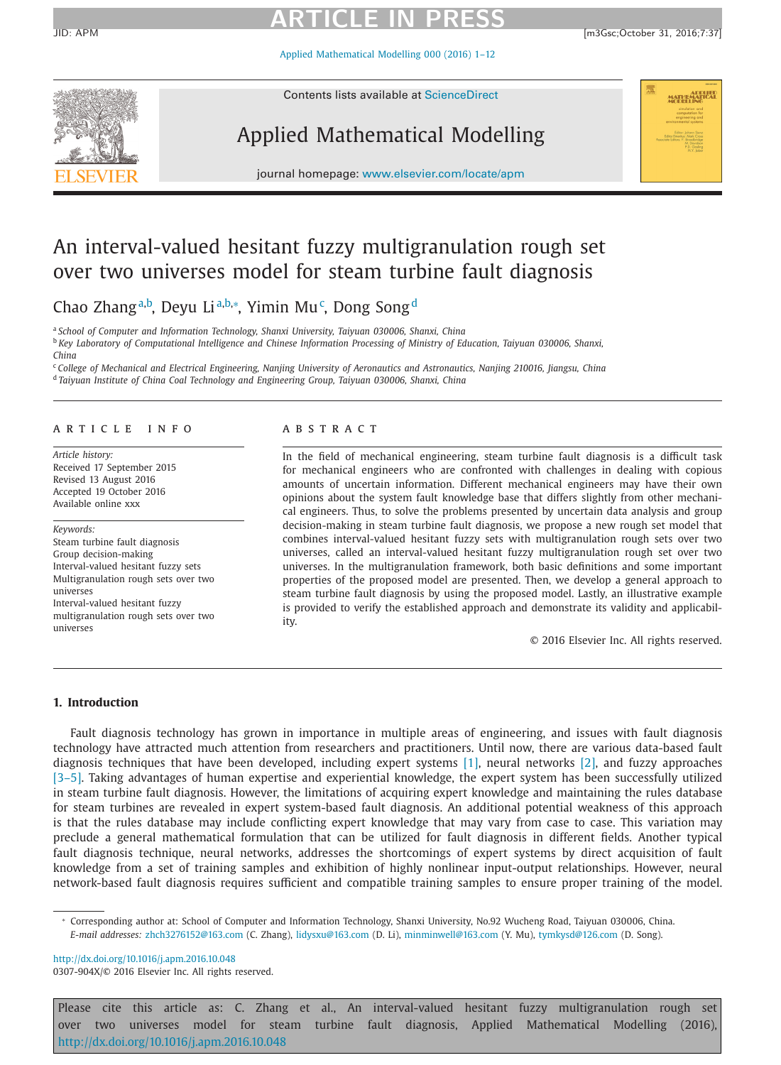JID: APM [m3Gsc;October 31, 2016;7:37]

Applied [Mathematical](http://dx.doi.org/10.1016/j.apm.2016.10.048) Modelling 000 (2016) 1–12



Contents lists available at [ScienceDirect](http://www.ScienceDirect.com)

### Applied Mathematical Modelling



journal homepage: [www.elsevier.com/locate/apm](http://www.elsevier.com/locate/apm)

### An interval-valued hesitant fuzzy multigranulation rough set over two universes model for steam turbine fault diagnosis

Chao Zhang<sup>a,b</sup>, Deyu Li<sup>a,b,∗</sup>, Yimin Mu<sup>c</sup>, Dong Song<sup>d</sup>

<sup>a</sup> *School of Computer and Information Technology, Shanxi University, Taiyuan 030006, Shanxi, China* <sup>b</sup> Key Laboratory of Computational Intelligence and Chinese Information Processing of Ministry of Education, Taiyuan 030006, Shanxi, *China*

<sup>c</sup>College of Mechanical and Electrical Engineering, Nanjing University of Aeronautics and Astronautics, Nanjing 210016, Jiangsu, China <sup>d</sup> *Taiyuan Institute of China Coal Technology and Engineering Group, Taiyuan 030006, Shanxi, China*

### a r t i c l e i n f o

*Article history:* Received 17 September 2015 Revised 13 August 2016 Accepted 19 October 2016 Available online xxx

### *Keywords:* Steam turbine fault diagnosis Group decision-making Interval-valued hesitant fuzzy sets Multigranulation rough sets over two universes Interval-valued hesitant fuzzy multigranulation rough sets over two universes

### a b s t r a c t

In the field of mechanical engineering, steam turbine fault diagnosis is a difficult task for mechanical engineers who are confronted with challenges in dealing with copious amounts of uncertain information. Different mechanical engineers may have their own opinions about the system fault knowledge base that differs slightly from other mechanical engineers. Thus, to solve the problems presented by uncertain data analysis and group decision-making in steam turbine fault diagnosis, we propose a new rough set model that combines interval-valued hesitant fuzzy sets with multigranulation rough sets over two universes, called an interval-valued hesitant fuzzy multigranulation rough set over two universes. In the multigranulation framework, both basic definitions and some important properties of the proposed model are presented. Then, we develop a general approach to steam turbine fault diagnosis by using the proposed model. Lastly, an illustrative example is provided to verify the established approach and demonstrate its validity and applicability.

© 2016 Elsevier Inc. All rights reserved.

### **1. Introduction**

Fault diagnosis technology has grown in importance in multiple areas of engineering, and issues with fault diagnosis technology have attracted much attention from researchers and practitioners. Until now, there are various data-based fault diagnosis techniques that have been developed, including expert systems [\[1\],](#page-11-0) neural networks [\[2\],](#page-11-0) and fuzzy approaches [\[3–5\].](#page-11-0) Taking advantages of human expertise and experiential knowledge, the expert system has been successfully utilized in steam turbine fault diagnosis. However, the limitations of acquiring expert knowledge and maintaining the rules database for steam turbines are revealed in expert system-based fault diagnosis. An additional potential weakness of this approach is that the rules database may include conflicting expert knowledge that may vary from case to case. This variation may preclude a general mathematical formulation that can be utilized for fault diagnosis in different fields. Another typical fault diagnosis technique, neural networks, addresses the shortcomings of expert systems by direct acquisition of fault knowledge from a set of training samples and exhibition of highly nonlinear input-output relationships. However, neural network-based fault diagnosis requires sufficient and compatible training samples to ensure proper training of the model.

<sup>∗</sup> Corresponding author at: School of Computer and Information Technology, Shanxi University, No.92 Wucheng Road, Taiyuan 030006, China. *E-mail addresses:* [zhch3276152@163.com](mailto:zhch3276152@163.com) (C. Zhang), [lidysxu@163.com](mailto:lidysxu@163.com) (D. Li), [minminwell@163.com](mailto:minminwell@163.com) (Y. Mu), [tymkysd@126.com](mailto:tymkysd@126.com) (D. Song).

<http://dx.doi.org/10.1016/j.apm.2016.10.048> 0307-904X/© 2016 Elsevier Inc. All rights reserved.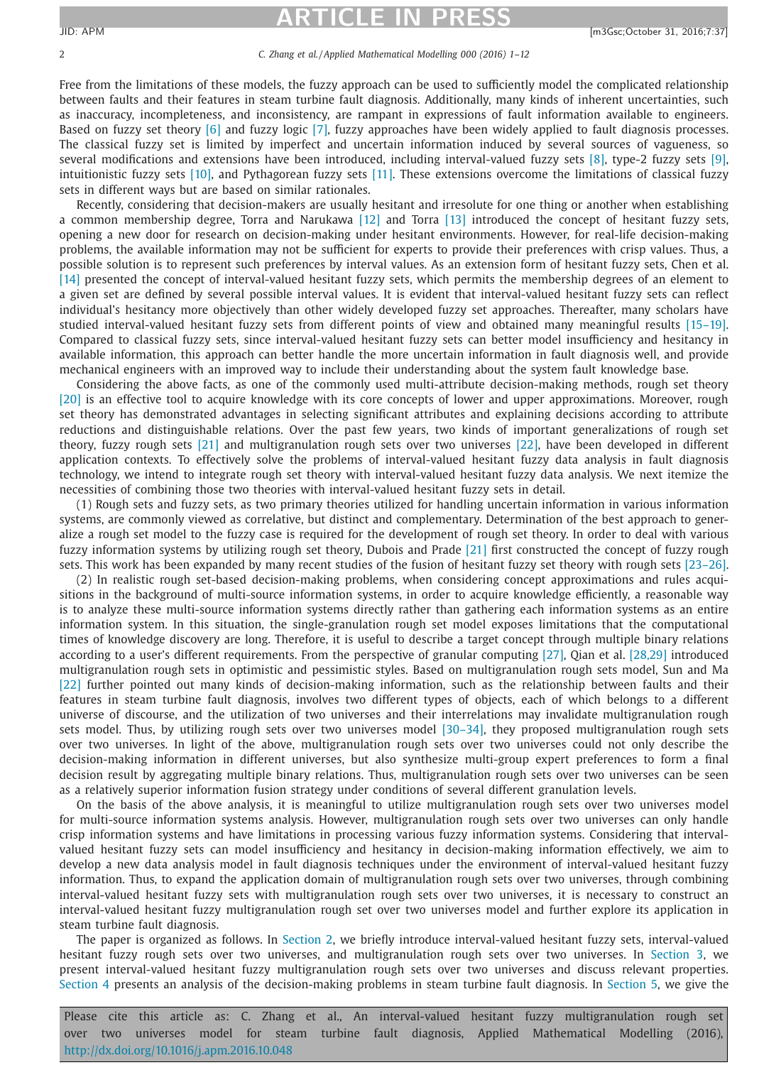### 2 *C. Zhang et al. / Applied Mathematical Modelling 000 (2016) 1–12*

Free from the limitations of these models, the fuzzy approach can be used to sufficiently model the complicated relationship between faults and their features in steam turbine fault diagnosis. Additionally, many kinds of inherent uncertainties, such as inaccuracy, incompleteness, and inconsistency, are rampant in expressions of fault information available to engineers. Based on fuzzy set theory [\[6\]](#page-11-0) and fuzzy logic [\[7\],](#page-11-0) fuzzy approaches have been widely applied to fault diagnosis processes. The classical fuzzy set is limited by imperfect and uncertain information induced by several sources of vagueness, so several modifications and extensions have been introduced, including interval-valued fuzzy sets [\[8\],](#page-11-0) type-2 fuzzy sets [\[9\],](#page-11-0) intuitionistic fuzzy sets [\[10\],](#page-11-0) and Pythagorean fuzzy sets [\[11\].](#page-11-0) These extensions overcome the limitations of classical fuzzy sets in different ways but are based on similar rationales.

Recently, considering that decision-makers are usually hesitant and irresolute for one thing or another when establishing a common membership degree, Torra and Narukawa [\[12\]](#page-11-0) and Torra [\[13\]](#page-11-0) introduced the concept of hesitant fuzzy sets, opening a new door for research on decision-making under hesitant environments. However, for real-life decision-making problems, the available information may not be sufficient for experts to provide their preferences with crisp values. Thus, a possible solution is to represent such preferences by interval values. As an extension form of hesitant fuzzy sets, Chen et al. [\[14\]](#page-11-0) presented the concept of interval-valued hesitant fuzzy sets, which permits the membership degrees of an element to a given set are defined by several possible interval values. It is evident that interval-valued hesitant fuzzy sets can reflect individual's hesitancy more objectively than other widely developed fuzzy set approaches. Thereafter, many scholars have studied interval-valued hesitant fuzzy sets from different points of view and obtained many meaningful results [\[15–19\].](#page-11-0) Compared to classical fuzzy sets, since interval-valued hesitant fuzzy sets can better model insufficiency and hesitancy in available information, this approach can better handle the more uncertain information in fault diagnosis well, and provide mechanical engineers with an improved way to include their understanding about the system fault knowledge base.

Considering the above facts, as one of the commonly used multi-attribute decision-making methods, rough set theory [\[20\]](#page-11-0) is an effective tool to acquire knowledge with its core concepts of lower and upper approximations. Moreover, rough set theory has demonstrated advantages in selecting significant attributes and explaining decisions according to attribute reductions and distinguishable relations. Over the past few years, two kinds of important generalizations of rough set theory, fuzzy rough sets [\[21\]](#page-11-0) and multigranulation rough sets over two universes [\[22\],](#page-11-0) have been developed in different application contexts. To effectively solve the problems of interval-valued hesitant fuzzy data analysis in fault diagnosis technology, we intend to integrate rough set theory with interval-valued hesitant fuzzy data analysis. We next itemize the necessities of combining those two theories with interval-valued hesitant fuzzy sets in detail.

(1) Rough sets and fuzzy sets, as two primary theories utilized for handling uncertain information in various information systems, are commonly viewed as correlative, but distinct and complementary. Determination of the best approach to generalize a rough set model to the fuzzy case is required for the development of rough set theory. In order to deal with various fuzzy information systems by utilizing rough set theory, Dubois and Prade [\[21\]](#page-11-0) first constructed the concept of fuzzy rough sets. This work has been expanded by many recent studies of the fusion of hesitant fuzzy set theory with rough sets [\[23–26\].](#page-11-0)

(2) In realistic rough set-based decision-making problems, when considering concept approximations and rules acquisitions in the background of multi-source information systems, in order to acquire knowledge efficiently, a reasonable way is to analyze these multi-source information systems directly rather than gathering each information systems as an entire information system. In this situation, the single-granulation rough set model exposes limitations that the computational times of knowledge discovery are long. Therefore, it is useful to describe a target concept through multiple binary relations according to a user's different requirements. From the perspective of granular computing [\[27\],](#page-11-0) Qian et al. [\[28,29\]](#page-11-0) introduced multigranulation rough sets in optimistic and pessimistic styles. Based on multigranulation rough sets model, Sun and Ma [\[22\]](#page-11-0) further pointed out many kinds of decision-making information, such as the relationship between faults and their features in steam turbine fault diagnosis, involves two different types of objects, each of which belongs to a different universe of discourse, and the utilization of two universes and their interrelations may invalidate multigranulation rough sets model. Thus, by utilizing rough sets over two universes model [\[30–34\],](#page-11-0) they proposed multigranulation rough sets over two universes. In light of the above, multigranulation rough sets over two universes could not only describe the decision-making information in different universes, but also synthesize multi-group expert preferences to form a final decision result by aggregating multiple binary relations. Thus, multigranulation rough sets over two universes can be seen as a relatively superior information fusion strategy under conditions of several different granulation levels.

On the basis of the above analysis, it is meaningful to utilize multigranulation rough sets over two universes model for multi-source information systems analysis. However, multigranulation rough sets over two universes can only handle crisp information systems and have limitations in processing various fuzzy information systems. Considering that intervalvalued hesitant fuzzy sets can model insufficiency and hesitancy in decision-making information effectively, we aim to develop a new data analysis model in fault diagnosis techniques under the environment of interval-valued hesitant fuzzy information. Thus, to expand the application domain of multigranulation rough sets over two universes, through combining interval-valued hesitant fuzzy sets with multigranulation rough sets over two universes, it is necessary to construct an interval-valued hesitant fuzzy multigranulation rough set over two universes model and further explore its application in steam turbine fault diagnosis.

The paper is organized as follows. In [Section](#page-2-0) 2, we briefly introduce interval-valued hesitant fuzzy sets, interval-valued hesitant fuzzy rough sets over two universes, and multigranulation rough sets over two universes. In [Section](#page-4-0) 3, we present interval-valued hesitant fuzzy multigranulation rough sets over two universes and discuss relevant properties. [Section](#page-6-0) 4 presents an analysis of the decision-making problems in steam turbine fault diagnosis. In [Section](#page-8-0) 5, we give the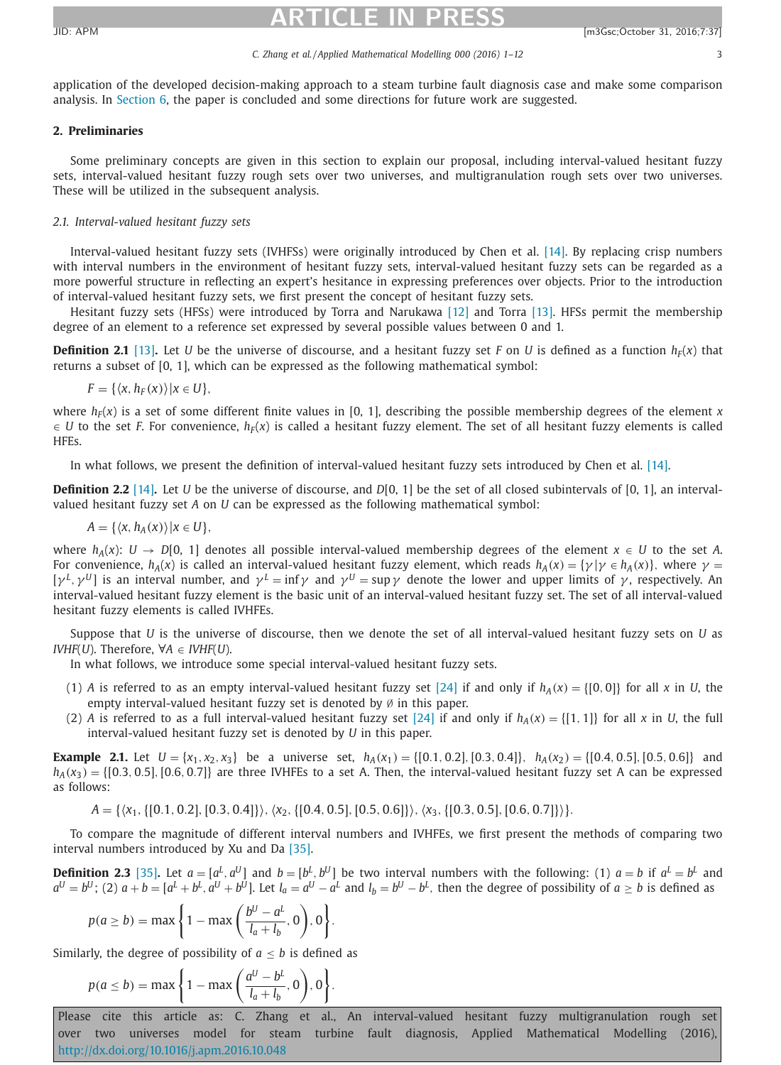#### *C. Zhang et al. / Applied Mathematical Modelling 000 (2016) 1–12* 3

<span id="page-2-0"></span>application of the developed decision-making approach to a steam turbine fault diagnosis case and make some comparison analysis. In [Section](#page-10-0) 6, the paper is concluded and some directions for future work are suggested.

### **2. Preliminaries**

Some preliminary concepts are given in this section to explain our proposal, including interval-valued hesitant fuzzy sets, interval-valued hesitant fuzzy rough sets over two universes, and multigranulation rough sets over two universes. These will be utilized in the subsequent analysis.

### *2.1. Interval-valued hesitant fuzzy sets*

Interval-valued hesitant fuzzy sets (IVHFSs) were originally introduced by Chen et al. [\[14\].](#page-11-0) By replacing crisp numbers with interval numbers in the environment of hesitant fuzzy sets, interval-valued hesitant fuzzy sets can be regarded as a more powerful structure in reflecting an expert's hesitance in expressing preferences over objects. Prior to the introduction of interval-valued hesitant fuzzy sets, we first present the concept of hesitant fuzzy sets.

Hesitant fuzzy sets (HFSs) were introduced by Torra and Narukawa [\[12\]](#page-11-0) and Torra [\[13\].](#page-11-0) HFSs permit the membership degree of an element to a reference set expressed by several possible values between 0 and 1.

**Definition 2.1** [\[13\]](#page-11-0). Let *U* be the universe of discourse, and a hesitant fuzzy set *F* on *U* is defined as a function  $h_F(x)$  that returns a subset of [0, 1], which can be expressed as the following mathematical symbol:

$$
F = \{ \langle x, h_F(x) \rangle | x \in U \},\
$$

where  $h_F(x)$  is a set of some different finite values in [0, 1], describing the possible membership degrees of the element *x*  $\in U$  to the set *F*. For convenience,  $h_F(x)$  is called a hesitant fuzzy element. The set of all hesitant fuzzy elements is called HFEs.

In what follows, we present the definition of interval-valued hesitant fuzzy sets introduced by Chen et al. [\[14\].](#page-11-0)

**Definition 2.2** [\[14\]](#page-11-0)**.** Let *U* be the universe of discourse, and *D*[0, 1] be the set of all closed subintervals of [0, 1], an intervalvalued hesitant fuzzy set *A* on *U* can be expressed as the following mathematical symbol:

$$
A = \{ \langle x, h_A(x) \rangle | x \in U \},
$$

where  $h_A(x)$ :  $U \rightarrow D[0, 1]$  denotes all possible interval-valued membership degrees of the element  $x \in U$  to the set *A*. For convenience,  $h_A(x)$  is called an interval-valued hesitant fuzzy element, which reads  $h_A(x) = \{ \gamma | \gamma \in h_A(x) \}$ , where  $\gamma =$  $[\gamma^L, \gamma^U]$  is an interval number, and  $\gamma^L = \inf \gamma$  and  $\gamma^U = \sup \gamma$  denote the lower and upper limits of  $\gamma$ , respectively. An interval-valued hesitant fuzzy element is the basic unit of an interval-valued hesitant fuzzy set. The set of all interval-valued hesitant fuzzy elements is called IVHFEs.

Suppose that *U* is the universe of discourse, then we denote the set of all interval-valued hesitant fuzzy sets on *U* as *IVHF*(*U*). Therefore,  $\forall A \in IVHF(U)$ .

In what follows, we introduce some special interval-valued hesitant fuzzy sets.

- (1) *A* is referred to as an empty interval-valued hesitant fuzzy set [\[24\]](#page-11-0) if and only if  $h_A(x) = \{[0,0]\}$  for all *x* in *U*, the empty interval-valued hesitant fuzzy set is denoted by Ø in this paper.
- (2) *A* is referred to as a full interval-valued hesitant fuzzy set [\[24\]](#page-11-0) if and only if  $h_A(x) = \{[1, 1]\}$  for all *x* in *U*, the full interval-valued hesitant fuzzy set is denoted by *U* in this paper.

**Example** 2.1. Let  $U = \{x_1, x_2, x_3\}$  be a universe set,  $h_A(x_1) = \{[0.1, 0.2], [0.3, 0.4]\}, h_A(x_2) = \{[0.4, 0.5], [0.5, 0.6]\}$  and  $h_A(x_3) = \{[0.3, 0.5], [0.6, 0.7]\}$  are three IVHFEs to a set A. Then, the interval-valued hesitant fuzzy set A can be expressed as follows:

*A* = { $\langle x_1, \{[0.1, 0.2], [0.3, 0.4]\}\rangle$ ,  $\langle x_2, \{[0.4, 0.5], [0.5, 0.6]\}\rangle$ ,  $\langle x_3, \{[0.3, 0.5], [0.6, 0.7]\}\rangle$ .

To compare the magnitude of different interval numbers and IVHFEs, we first present the methods of comparing two interval numbers introduced by Xu and Da [\[35\].](#page-11-0)

**Definition 2.3** [\[35\]](#page-11-0). Let  $a = [a^L, a^U]$  and  $b = [b^L, b^U]$  be two interval numbers with the following: (1)  $a = b$  if  $a^L = b^L$  and  $a^U = b^U$ ; (2)  $a + b = [a^L + b^L, a^U + b^U]$ . Let  $l_a = a^U - a^L$  and  $l_b = b^U - b^L$ , then the degree of possibility of  $a \ge b$  is defined as

$$
p(a \ge b) = \max\left\{1 - \max\left(\frac{b^U - a^L}{l_a + l_b}, 0\right), 0\right\}.
$$

Similarly, the degree of possibility of  $a \leq b$  is defined as

$$
p(a \le b) = \max\left\{1 - \max\left(\frac{a^U - b^L}{l_a + l_b}, 0\right), 0\right\}.
$$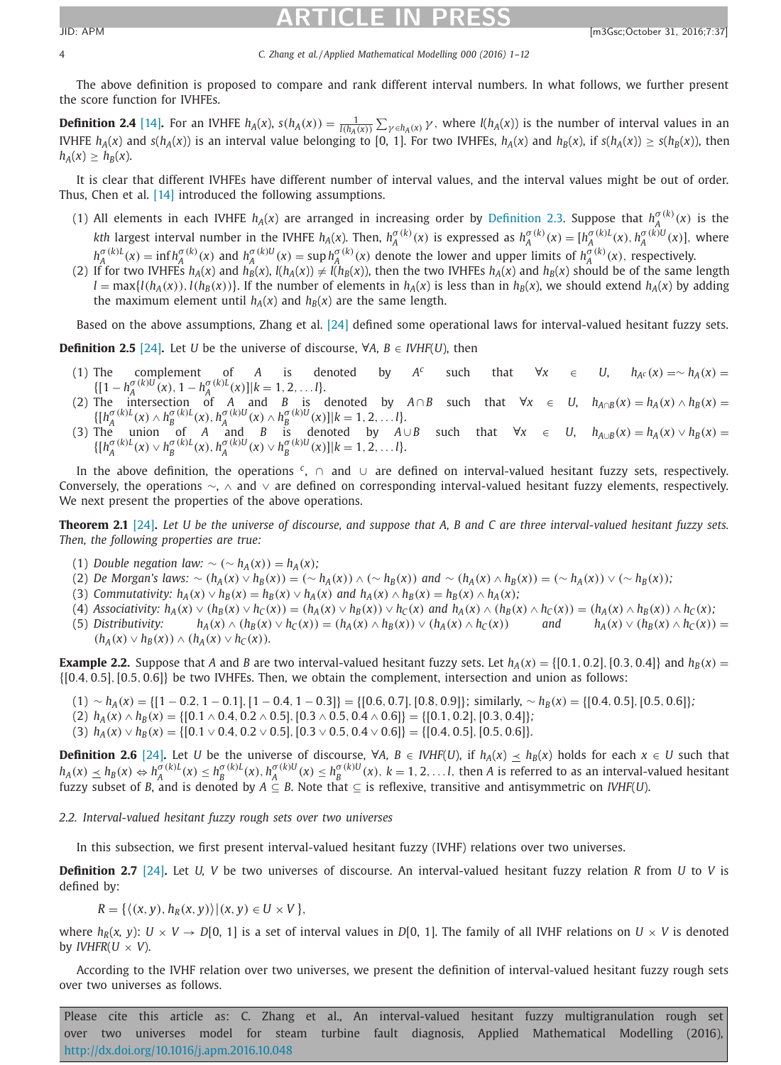### 4 *C. Zhang et al. / Applied Mathematical Modelling 000 (2016) 1–12*

The above definition is proposed to compare and rank different interval numbers. In what follows, we further present the score function for IVHFEs.

**Definition 2.4** [\[14\]](#page-11-0). For an IVHFE  $h_A(x)$ ,  $s(h_A(x)) = \frac{1}{l(h_A(x))} \sum_{\gamma \in h_A(x)} \gamma$ , where  $l(h_A(x))$  is the number of interval values in an IVHFE  $h_A(x)$  and  $s(h_A(x))$  is an interval value belonging to [0, 1]. For two IVHFEs,  $h_A(x)$  and  $h_B(x)$ , if  $s(h_A(x)) \ge s(h_B(x))$ , then  $h_A(x) > h_B(x)$ .

It is clear that different IVHFEs have different number of interval values, and the interval values might be out of order. Thus, Chen et al. [\[14\]](#page-11-0) introduced the following assumptions.

- (1) All elements in each IVHFE  $h_A(x)$  are arranged in increasing order by [Definition](#page-2-0) 2.3. Suppose that  $h_A^{\sigma(k)}(x)$  is the kth largest interval number in the IVHFE  $h_A(x)$ . Then,  $h_A^{\sigma(k)}(x)$  is expressed as  $h_A^{\sigma(k)}(x) = [h_A^{\sigma(k)L}(x), h_A^{\sigma(k)U}(x)]$ , where  $h^{\sigma(k)L}_A(x) = \inf h^{\sigma(k)}_A(x)$  and  $h^{\sigma(k)U}_A(x) = \sup h^{\sigma(k)}_A(x)$  denote the lower and upper limits of  $h^{\sigma(k)}_A(x)$ , respectively.
- (2) If for two IVHFEs  $h_A(x)$  and  $h_B(x)$ ,  $l(h_A(x)) \neq l(h_B(x))$ , then the two IVHFEs  $h_A(x)$  and  $h_B(x)$  should be of the same length  $l = \max\{l(h_A(x)), l(h_B(x))\}$ . If the number of elements in  $h_A(x)$  is less than in  $h_B(x)$ , we should extend  $h_A(x)$  by adding the maximum element until  $h_A(x)$  and  $h_B(x)$  are the same length.

Based on the above assumptions, Zhang et al. [\[24\]](#page-11-0) defined some operational laws for interval-valued hesitant fuzzy sets.

**Definition 2.5** [\[24\]](#page-11-0). Let *U* be the universe of discourse,  $\forall A, B \in I V HF(U)$ , then

- (1) The complement of *A* is denoted by *A<sup>c</sup>* such that  $\forall x \in U$ ,  $h_{A^c}(x) = \sim h_A(x)$  $\{[1 - h_A^{\sigma(k)U}(\mathbf{x}), 1 - h_A^{\sigma(k)U}(\mathbf{x})]|k = 1, 2, \dots, l\}.$
- (2) The intersection of *A* and *B* is denoted by  $A \cap B$  such that  $\forall x \in U$ ,  $h_{A \cap B}(x) = h_A(x) \wedge h_B(x) =$  $\{[h_A^{\sigma(k)L}(x) \wedge h_B^{\sigma(k)L}(x), h_A^{\sigma(k)U}(x) \wedge h_B^{\sigma(k)U}(x)]|k=1,2,...l\}.$
- (3) The union of *A* and *B* is denoted by  $A \cup B$  such that  $\forall x \in U$ ,  $h_{A \cup B}(x) = h_A(x) \vee h_B(x) =$  $\{[h_A^{\sigma(k)L}(x) \vee h_B^{\sigma(k)L}(x), h_A^{\sigma(k)U}(x) \vee h_B^{\sigma(k)U}(x)]|k=1,2,...l\}.$

In the above definition, the operations *<sup>c</sup>*, ∩ and ∪ are defined on interval-valued hesitant fuzzy sets, respectively. Conversely, the operations ∼, ∧ and ∨ are defined on corresponding interval-valued hesitant fuzzy elements, respectively. We next present the properties of the above operations.

**Theorem 2.1** [\[24\]](#page-11-0). Let U be the universe of discourse, and suppose that A, B and C are three interval-valued hesitant fuzzy sets. *Then, the following properties are true:*

- (1) *Double negation law:*  $\sim (\sim h_A(x)) = h_A(x)$ ;
- (2) De Morgan's laws:  $\sim (h_A(x) \vee h_B(x)) = (\sim h_A(x)) \wedge (\sim h_B(x))$  and  $\sim (h_A(x) \wedge h_B(x)) = (\sim h_A(x)) \vee (\sim h_B(x))$ ;
- (3) *Commutativity:*  $h_A(x) \vee h_B(x) = h_B(x) \vee h_A(x)$  and  $h_A(x) \wedge h_B(x) = h_B(x) \wedge h_A(x)$ ;
- (4) Associativity:  $h_A(x) \vee (h_B(x) \vee h_C(x)) = (h_A(x) \vee h_B(x)) \vee h_C(x)$  and  $h_A(x) \wedge (h_B(x) \wedge h_C(x)) = (h_A(x) \wedge h_B(x)) \wedge h_C(x)$ ;
- (5) Distributivity:  $h_A(x) \wedge (h_B(x) \vee h_C(x)) = (h_A(x) \wedge h_B(x)) \vee (h_A(x) \wedge h_C(x))$  and  $h_A(x) \vee (h_B(x) \wedge h_C(x)) =$  $(h_A(x) \vee h_B(x)) \wedge (h_A(x) \vee h_C(x)).$

**Example 2.2.** Suppose that *A* and *B* are two interval-valued hesitant fuzzy sets. Let  $h_A(x) = \{[0.1, 0.2], [0.3, 0.4]\}$  and  $h_B(x) =$ {[0.4, 0.5],[0.5, 0.6]} be two IVHFEs. Then, we obtain the complement, intersection and union as follows:

- $(1) \sim h_A(x) = \{ [1 0.2, 1 0.1], [1 0.4, 1 0.3] \} = \{ [0.6, 0.7], [0.8, 0.9] \}$ ; similarly, ∼  $h_B(x) = \{ [0.4, 0.5], [0.5, 0.6] \}$ *;*
- $h_A(x) \wedge h_B(x) = \{ [0.1 \wedge 0.4, 0.2 \wedge 0.5], [0.3 \wedge 0.5, 0.4 \wedge 0.6] \} = \{ [0.1, 0.2], [0.3, 0.4] \};$
- (3)  $h_A(x) \vee h_B(x) = \{[0.1 \vee 0.4, 0.2 \vee 0.5], [0.3 \vee 0.5, 0.4 \vee 0.6]\} = \{[0.4, 0.5], [0.5, 0.6]\}.$

**Definition 2.6** [\[24\]](#page-11-0). Let *U* be the universe of discourse, ∀*A*, *B* ∈ *IVHF*(*U*), if  $h_A(x) \le h_B(x)$  holds for each  $x \in U$  such that  $h_A(x) \leq h_B(x) \Leftrightarrow h_A^{\sigma(k)L}(x) \leq h_B^{\sigma(k)L}(x)$ ,  $h_A^{\sigma(k)U}(x) \leq h_B^{\sigma(k)U}(x)$ ,  $k = 1, 2, ...l$ , then A is referred to as an interval-valued hesitant fuzzy subset of B, and is denoted by  $A \subseteq B$ . Note that  $\subseteq$  is reflexive, transiti

*2.2. Interval-valued hesitant fuzzy rough sets over two universes*

In this subsection, we first present interval-valued hesitant fuzzy (IVHF) relations over two universes.

**Definition 2.7** [\[24\]](#page-11-0)**.** Let *U, V* be two universes of discourse. An interval-valued hesitant fuzzy relation *R* from *U* to *V* is defined by:

$$
R = \{ \langle (x, y), h_R(x, y) \rangle | (x, y) \in U \times V \},\
$$

where  $h_R(x, y)$ :  $U \times V \rightarrow D[0, 1]$  is a set of interval values in  $D[0, 1]$ . The family of all IVHF relations on  $U \times V$  is denoted by *IVHFR*( $U \times V$ ).

According to the IVHF relation over two universes, we present the definition of interval-valued hesitant fuzzy rough sets over two universes as follows.

<span id="page-3-0"></span>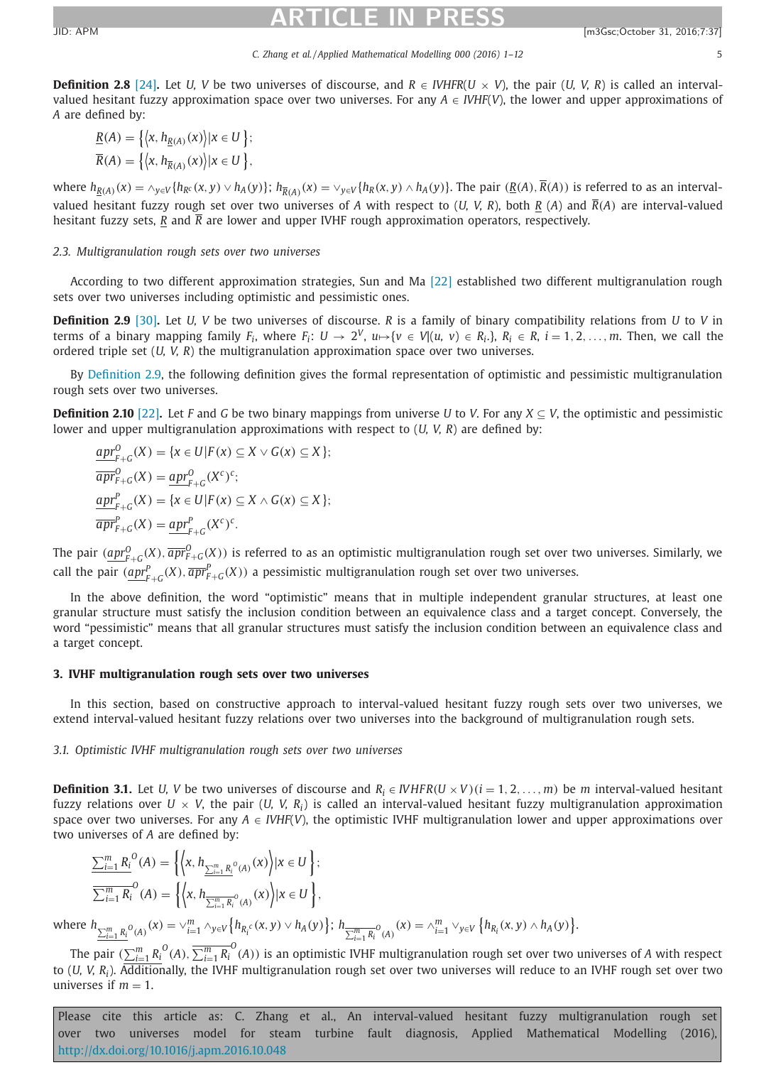### *C. Zhang et al. / Applied Mathematical Modelling 000 (2016) 1–12* 5

<span id="page-4-0"></span>**Definition 2.8** [\[24\]](#page-11-0). Let *U, V* be two universes of discourse, and  $R \in IVIFFR(U \times V)$ , the pair (*U, V, R*) is called an intervalvalued hesitant fuzzy approximation space over two universes. For any  $A \in IVHF(V)$ , the lower and upper approximations of *A* are defined by:

$$
\underline{R}(A) = \{ \langle x, h_{\underline{R}(A)}(x) \rangle | x \in U \} ;
$$
  

$$
\overline{R}(A) = \{ \langle x, h_{\overline{R}(A)}(x) \rangle | x \in U \} ,
$$

where  $h_{R(A)}(x) = \sqrt{\frac{h_{R(A)}(x, y)}{h_{R(B)}(x, y)}}$   $h_{R(A)}(x) = \sqrt{\frac{h_{R(B)}(x, y)}{h_{R(B)}(x, y)}}$ . The pair  $(\underline{R(A)}, \overline{R(A)})$  is referred to as an intervalvalued hesitant fuzzy rough set over two universes of *A* with respect to (*U, V, R*), both *R* (*A*) and  $\overline{R}(A)$  are interval-valued hesitant fuzzy sets, *R* and *R* are lower and upper IVHF rough approximation operators, respectively.

### *2.3. Multigranulation rough sets over two universes*

According to two different approximation strategies, Sun and Ma [\[22\]](#page-11-0) established two different multigranulation rough sets over two universes including optimistic and pessimistic ones.

**Definition 2.9** [\[30\]](#page-11-0)**.** Let *U, V* be two universes of discourse. *R* is a family of binary compatibility relations from *U* to *V* in terms of a binary mapping family  $F_i$ , where  $F_i$ :  $U \to 2^V$ ,  $u \mapsto \{v \in V | (u, v) \in R_i \}$ ,  $R_i \in R$ ,  $i = 1, 2, \ldots, m$ . Then, we call the ordered triple set (*U, V, R*) the multigranulation approximation space over two universes.

By Definition 2.9, the following definition gives the formal representation of optimistic and pessimistic multigranulation rough sets over two universes.

**Definition 2.10** [\[22\]](#page-11-0)**.** Let *F* and *G* be two binary mappings from universe *U* to *V*. For any *X* ⊆ *V*, the optimistic and pessimistic lower and upper multigranulation approximations with respect to (*U, V, R*) are defined by:

$$
\underline{apr}_{F+G}^{P}(X) = \{x \in U | F(x) \subseteq X \vee G(x) \subseteq X \};
$$
\n
$$
\overline{apr}_{F+G}^{O}(X) = \underline{apr}_{F+G}^{O}(X^{c})^{c};
$$
\n
$$
\underline{apr}_{F+G}^{P}(X) = \{x \in U | F(x) \subseteq X \wedge G(x) \subseteq X \};
$$
\n
$$
\overline{apr}_{F+G}^{P}(X) = \underline{apr}_{F+G}^{P}(X^{c})^{c}.
$$

The pair  $(\underbrace{apr^0_{F+G}}(X), \overline{apr^0_{F+G}}(X))$  is referred to as an optimistic multigranulation rough set over two universes. Similarly, we call the pair  $(\underbrace{apr_{F+G}^p}(X), \overline{apr_{F+G}^p}(X))$  a pessimistic multigranulation rough set over two universes.

In the above definition, the word "optimistic" means that in multiple independent granular structures, at least one granular structure must satisfy the inclusion condition between an equivalence class and a target concept. Conversely, the word "pessimistic" means that all granular structures must satisfy the inclusion condition between an equivalence class and a target concept.

### **3. IVHF multigranulation rough sets over two universes**

In this section, based on constructive approach to interval-valued hesitant fuzzy rough sets over two universes, we extend interval-valued hesitant fuzzy relations over two universes into the background of multigranulation rough sets.

*3.1. Optimistic IVHF multigranulation rough sets over two universes*

**Definition 3.1.** Let *U, V* be two universes of discourse and  $R_i \in IVHFR(U \times V)(i = 1, 2, ..., m)$  be *m* interval-valued hesitant fuzzy relations over  $U \times V$ , the pair (*U*, *V*, *R<sub>i</sub>*) is called an interval-valued hesitant fuzzy multigranulation approximation space over two universes. For any  $A \in IVHF(V)$ , the optimistic IVHF multigranulation lower and upper approximations over two universes of *A* are defined by:

$$
\begin{aligned}\n\sum_{i=1}^{m} R_i^O(A) &= \left\{ \left\langle x, h_{\sum_{i=1}^{m} R_i^O(A)}(x) \right\rangle | x \in U \right\}; \\
\overline{\sum_{i=1}^{m} R_i^O}(A) &= \left\{ \left\langle x, h_{\sum_{i=1}^{m} R_i^O(A)}(x) \right\rangle | x \in U \right\}, \\
h_{m}^O(A) &= \sqrt{m} \cdot \sqrt{m} \cdot \sqrt{m} \cdot \sqrt{m} \cdot \sqrt{m} \cdot \sqrt{m} \cdot \sqrt{m} \cdot \sqrt{m} \cdot \sqrt{m} \cdot \sqrt{m} \cdot \sqrt{m} \cdot \sqrt{m} \cdot \sqrt{m} \cdot \sqrt{m} \cdot \sqrt{m}}.\n\end{aligned}
$$

where *<sup>h</sup><sup>m</sup>*  $\lim_{k=1, R_i^0(A)} (x) = \vee_{i=1}^m \wedge_{y \in V} \{ h_{R_i^c}(x, y) \vee h_A(y) \};$   $h_{\frac{m}{\sum_{i=1}^m R_i^0(A)}} (x) = \wedge_{i=1}^m \vee_{y \in V} \{ h_{R_i}(x, y) \wedge h_A(y) \}.$ 

The pair  $(\sum_{i=1}^mR_i^O(A),\overline{\sum_{i=1}^mR_i}^O(A))$  is an optimistic IVHF multigranulation rough set over two universes of *A* with respect to (*U, V, Ri*). Additionally, the IVHF multigranulation rough set over two universes will reduce to an IVHF rough set over two universes if  $m = 1$ .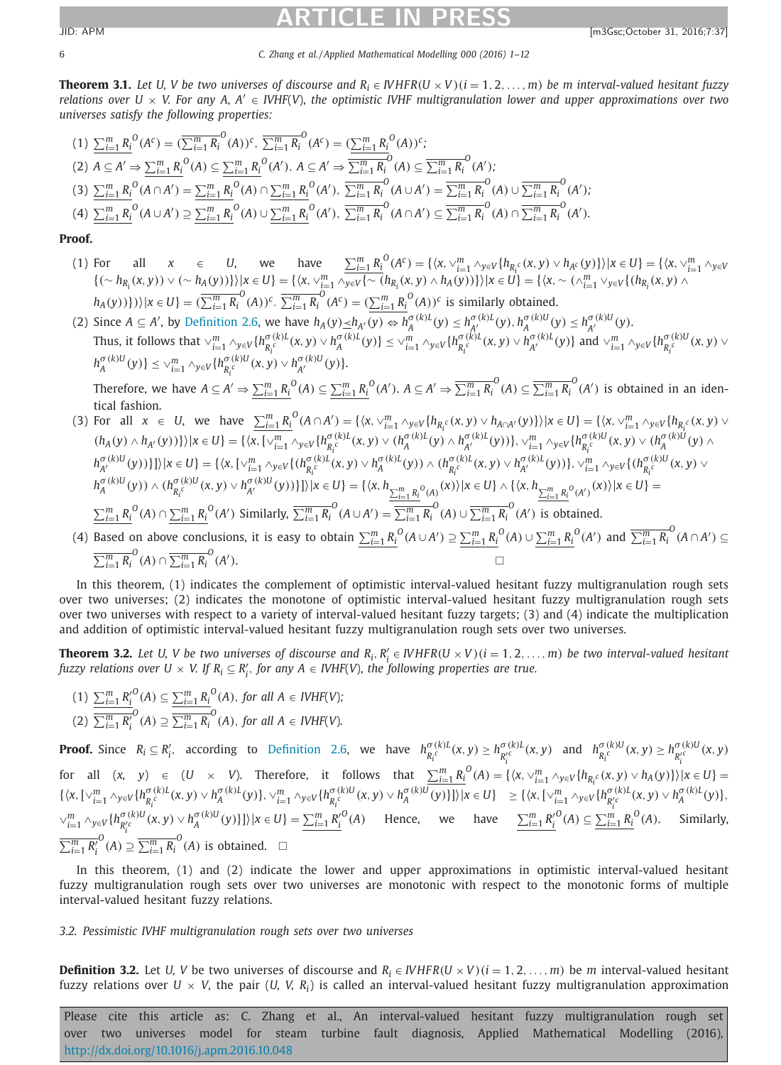6 *C. Zhang et al. / Applied Mathematical Modelling 000 (2016) 1–12*

**Theorem 3.1.** Let U, V be two universes of discourse and  $R_i \in WHFR(U \times V)(i = 1, 2, ..., m)$  be m interval-valued hesitant fuzzy relations over U  $\times$  V. For any A, A'  $\in$  IVHF(V), the optimistic IVHF multigranulation lower and upper approximations over two *universes satisfy the following properties:*

$$
(1) \sum_{i=1}^{m} R_{i}^{O}(A^{c}) = (\overline{\sum_{i=1}^{m} R_{i}}^{O}(A))^{c}, \overline{\sum_{i=1}^{m} R_{i}}^{O}(A^{c}) = (\underline{\sum_{i=1}^{m} R_{i}}^{O}(A))^{c};
$$
\n
$$
(2) A \subseteq A' \Rightarrow \sum_{i=1}^{m} R_{i}^{O}(A) \subseteq \underline{\sum_{i=1}^{m} R_{i}}^{O}(A'), A \subseteq A' \Rightarrow \overline{\sum_{i=1}^{m} R_{i}}^{O}(A) \subseteq \overline{\sum_{i=1}^{m} R_{i}}^{O}(A');
$$
\n
$$
(3) \sum_{i=1}^{m} R_{i}^{O}(A \cap A') = \underline{\sum_{i=1}^{m} R_{i}}^{O}(A) \cap \underline{\sum_{i=1}^{m} R_{i}}^{O}(A'), \overline{\sum_{i=1}^{m} R_{i}}^{O}(A \cup A') = \overline{\sum_{i=1}^{m} R_{i}}^{O}(A) \cup \overline{\sum_{i=1}^{m} R_{i}}^{O}(A');
$$
\n
$$
(4) \sum_{i=1}^{m} R_{i}^{O}(A \cup A') \supseteq \underline{\sum_{i=1}^{m} R_{i}}^{O}(A) \cup \underline{\sum_{i=1}^{m} R_{i}}^{O}(A'), \overline{\sum_{i=1}^{m} R_{i}}^{O}(A \cap A') \subseteq \overline{\sum_{i=1}^{m} R_{i}}^{O}(A) \cap \overline{\sum_{i=1}^{m} R_{i}}^{O}(A').
$$

### **Proof.**

- (1) For all  $x \in U$ , we have  $\sum_{i=1}^{m} R_i^O(A^c) = \{ \langle x, \vee_{i=1}^{m} \wedge_{y \in V} \{ h_{R_i^c}(x, y) \vee h_{A^c}(y) \} \rangle | x \in U \} = \{ \langle x, \vee_{i=1}^{m} \wedge_{y \in V} \{ h_{R_i^c}(x, y) \vee h_{A^c}(y) \} \rangle | x \in U \}$  $\{(\sim h_{R_i}(x,y)) \vee (\sim h_A(y))\}\|x \in U\} = \{\langle x, \vee_{i=1}^m \wedge_{y \in V} \{\sim (h_{R_i}(x,y) \wedge h_A(y))\}\rangle | x \in U\} = \{\langle x, \sim (\wedge_{i=1}^m \vee_{y \in V} \{(h_{R_i}(x,y) \wedge h_A(y))\}\rangle | x \in U\} \cup \{h_{R_i}(x,y) \wedge h_A(y)\}$  $\langle h_A(y)\rangle\}\rangle\rangle\langle x\in U\} = (\overline{\sum_{i=1}^mR_i}^O(A))^c$ .  $\overline{\sum_{i=1}^mR_i}^O(A^c) = (\underline{\sum_{i=1}^mR_i}^O(A))^c$  is similarly obtained.
- (2) Since  $A \subseteq A'$ , by [Definition](#page-3-0) 2.6, we have  $h_A(y) \leq h_{A'}(y) \Leftrightarrow h_A^{\sigma(k)L}(y) \leq h_{A'}^{\sigma(k)L}(y)$ ,  $h_A^{\sigma(k)U}(y) \leq h_{A'}^{\sigma(k)U}(y)$ . Thus, it follows that  $\vee_{i=1}^{m}\wedge_{y\in V}\{h_{R_{i}}^{\sigma(k)l}(x,y)\vee h_{A}^{\sigma(k)l}(y)\}\leq \vee_{i=1}^{m}\wedge_{y\in V}\{h_{R_{i}}^{\sigma(k)l}(x,y)\vee h_{A'}^{\sigma(k)l}(y)\}$  and  $\vee_{i=1}^{m}\wedge_{y\in V}\{h_{R_{i}}^{\sigma(k)l}(x,y)\vee h_{A'}^{\sigma(k)l}(y)\}$  $h_A^{\sigma(k)U}(y)$ }  $\leq \vee_{i=1}^m \wedge_{y \in V} \{h_{R_i^c}^{\sigma(k)U}(x,y) \vee h_{A'}^{\sigma(k)U}(y)\}.$ *Ri*

Therefore, we have  $A\subseteq A'\Rightarrow \sum_{i=1}^mR_i^{\ O}(A)\subseteq \sum_{i=1}^mR_i^{\ O}(A').$   $A\subseteq A'\Rightarrow \overline{\sum_{i=1}^mR_i}^O(A)\subseteq \overline{\sum_{i=1}^mR_i}^O(A')$  is obtained in an identical fashion.

(3) For all  $x \in U$ , we have  $\sum_{i=1}^{m} R_i^0(A \cap A') = \{ \langle x, \vee_{i=1}^{m} \wedge_{y \in V} \{ h_{R_i^c}(x, y) \vee h_{A \cap A'}(y) \} \rangle | x \in U \} = \{ \langle x, \vee_{i=1}^{m} \wedge_{y \in V} \{ h_{R_i^c}(x, y) \vee h_{R_i^c}(y) \} \rangle | x \in U \}$  $(h_A(y) \wedge h_{A'}(y))\}\|x \in U\} = \{\langle x, [\vee_{i=1}^m \wedge_{y \in V} \{h_{R_i^c}^{\sigma(k)L}(x, y) \vee (h_A^{\sigma(k)L}(y) \wedge h_{A'}^{\sigma(k)L}(y))\}, \vee_{i=1}^m \wedge_{y \in V} \{h_{R_i^c}^{\sigma(k)U}(x, y) \vee (h_A^{\sigma(k)U}(y) \wedge h_{A'}^{\sigma(k)U}(y))\} \rangle\}$  $\langle h_{A'}^{\sigma(k)U}(y)\rangle\}\rangle\vert x\in U\} = \{\langle x,[\vee_{i=1}^{m}\wedge_{y\in V}\{(h_{R_i^c}^{\sigma(k)U}(x,y)\vee h_{A}^{\sigma(k)U}(y))\wedge(h_{R_i^c}^{\sigma(k)U}(x,y)\vee h_{A'}^{\sigma(k)U}(y))\},\vee_{i=1}^{m}\wedge_{y\in V}\{(h_{R_i^c}^{\sigma(k)U}(x,y)\vee h_{A'}^{\sigma(k)U}(y))\}\rangle\}$  $h^{\sigma(k)U}_A(y))\wedge (h^{\sigma(k)U}_{R_i^c}(x,y)\vee h^{\sigma(k)U}_{A'}(y))\}\rangle |x\in U\}= \{\langle x, h_{\sum_{i=1}^mR_i^o(A)}(x)\rangle |x\in U\}\wedge \{\langle x, h_{\sum_{i=1}^mR_i^o(A')}(x)\rangle |x\in U\}=$  $\sum_{i=1}^{m} R_i^{\ O}(A) \cap \sum_{i=1}^{m} R_i^{\ O}(A')$  Similarly,  $\overline{\sum_{i=1}^{m} R_i}^O(A \cup A') = \overline{\sum_{i=1}^{m} R_i}^O(A) \cup \overline{\sum_{i=1}^{m} R_i}^O(A')$  is obtained. (4) Based on above conclusions, it is easy to obtain  $\sum_{i=1}^m R_i^{\,\,0}(A\cup A')\supseteq \sum_{i=1}^m R_i^{\,\,0}(A)\cup \sum_{i=1}^m R_i^{\,\,0}(A')$  and  $\overline{\sum_{i=1}^m R_i^{\,\,0}}(A\cap A')\subseteq$ 

 $\sum_{i=1}^{m} R_i^{\{O\}}(A) \cap \overline{\sum_{i=1}^{m} R_i^{\{O\}}(A)}$  $\Box$ 

In this theorem, (1) indicates the complement of optimistic interval-valued hesitant fuzzy multigranulation rough sets over two universes; (2) indicates the monotone of optimistic interval-valued hesitant fuzzy multigranulation rough sets over two universes with respect to a variety of interval-valued hesitant fuzzy targets; (3) and (4) indicate the multiplication and addition of optimistic interval-valued hesitant fuzzy multigranulation rough sets over two universes.

**Theorem 3.2.** Let U, V be two universes of discourse and  $R_i, R'_i \in \text{NHFR}(U \times V)$  ( $i = 1, 2, ..., m$ ) be two interval-valued hesitant fuzzy relations over  $U \times V$ . If  $R_i \subseteq R'_i$ , for any  $A \in IVHF(V)$ , the following properties are true.

 $(1)$   $\sum_{i=1}^{m} R_i^{O}(A) \subseteq \sum_{i=1}^{m} R_i^{O}(A)$ , for all  $A \in IVHF(V)$ ; (2)  $\sum_{i=1}^{m} R'_i$  $O$ <sup>*O*</sup>(*A*)  $\supseteq \frac{m}{\sum_{i=1}^{m} R_i}$ <sup>*O*</sup>(*A*), *for all*  $A \in IVHF(V)$ *.* 

**Proof.** Since  $R_i \subseteq R'_i$ , according to [Definition](#page-3-0) 2.6, we have  $h_{R_i^c}^{\sigma(k)L}(x, y) \geq h_{R_i^c}^{\sigma(k)L}(x, y)$  and  $h_{R_i^c}^{\sigma(k)L}(x, y) \geq h_{R_i^c}^{\sigma(k)L}(x, y)$ for all  $(x, y) \in (U \times V)$ . Therefore, it follows that  $\sum_{i=1}^{m} R_i^O(A) = \{ \langle x, \vee_{i=1}^{m} \wedge_{y \in V} \{ h_{R_i}c(x, y) \vee h_A(y) \} \rangle | x \in U \} =$ {*x*,[∨*<sup>m</sup> <sup>i</sup>*=<sup>1</sup> <sup>∧</sup>*y*∈*<sup>V</sup>* {*h*<sup>σ</sup> (*k*)*<sup>L</sup> Ri <sup>c</sup>* (*x*, *<sup>y</sup>*) <sup>∨</sup> *<sup>h</sup>*<sup>σ</sup> (*k*)*<sup>L</sup> <sup>A</sup>* (*y*)}, <sup>∨</sup>*<sup>m</sup> <sup>i</sup>*=<sup>1</sup> <sup>∧</sup>*y*∈*<sup>V</sup>* {*h*<sup>σ</sup> (*k*)*<sup>U</sup> Ri <sup>c</sup>* (*x*, *<sup>y</sup>*) <sup>∨</sup> *<sup>h</sup>*<sup>σ</sup> (*k*)*<sup>U</sup> <sup>A</sup>* (*y*)}]|*<sup>x</sup>* <sup>∈</sup> *<sup>U</sup>*} <sup>≥</sup> {*x*,[∨*<sup>m</sup> <sup>i</sup>*=<sup>1</sup> <sup>∧</sup>*y*∈*<sup>V</sup>* {*h*<sup>σ</sup> (*k*)*<sup>L</sup> R i <sup>c</sup>* (*x*, *<sup>y</sup>*) <sup>∨</sup> *<sup>h</sup>*<sup>σ</sup> (*k*)*<sup>L</sup> <sup>A</sup>* (*y*)},  $\vee_{i=1}^{m} \wedge_{y \in V} \{h_{R_i'^c}^{\sigma(k)U}(x, y) \vee h_A^{\sigma(k)U}(y)\}\}\|x \in U\} = \underline{\sum_{i=1}^{m} R_i'^O}(A)$  Hence, we have  $\underline{\sum_{i=1}^{m} R_i'^O}(A) \subseteq \underline{\sum_{i=1}^{m} R_i^O}(A)$ . Similarly,  $\sum_{i=1}^m R'_i$  $O$ <sup>O</sup>(A) ⊇  $\overline{\sum_{i=1}^{m} R_i}$ <sup>O</sup>(A) is obtained.  $□$ 

In this theorem, (1) and (2) indicate the lower and upper approximations in optimistic interval-valued hesitant fuzzy multigranulation rough sets over two universes are monotonic with respect to the monotonic forms of multiple interval-valued hesitant fuzzy relations.

### *3.2. Pessimistic IVHF multigranulation rough sets over two universes*

**Definition 3.2.** Let *U, V* be two universes of discourse and  $R_i \in \text{IVHFR}(U \times V)(i = 1, 2, ..., m)$  be *m* interval-valued hesitant fuzzy relations over *U* × *V*, the pair (*U, V, Ri*) is called an interval-valued hesitant fuzzy multigranulation approximation

<span id="page-5-0"></span>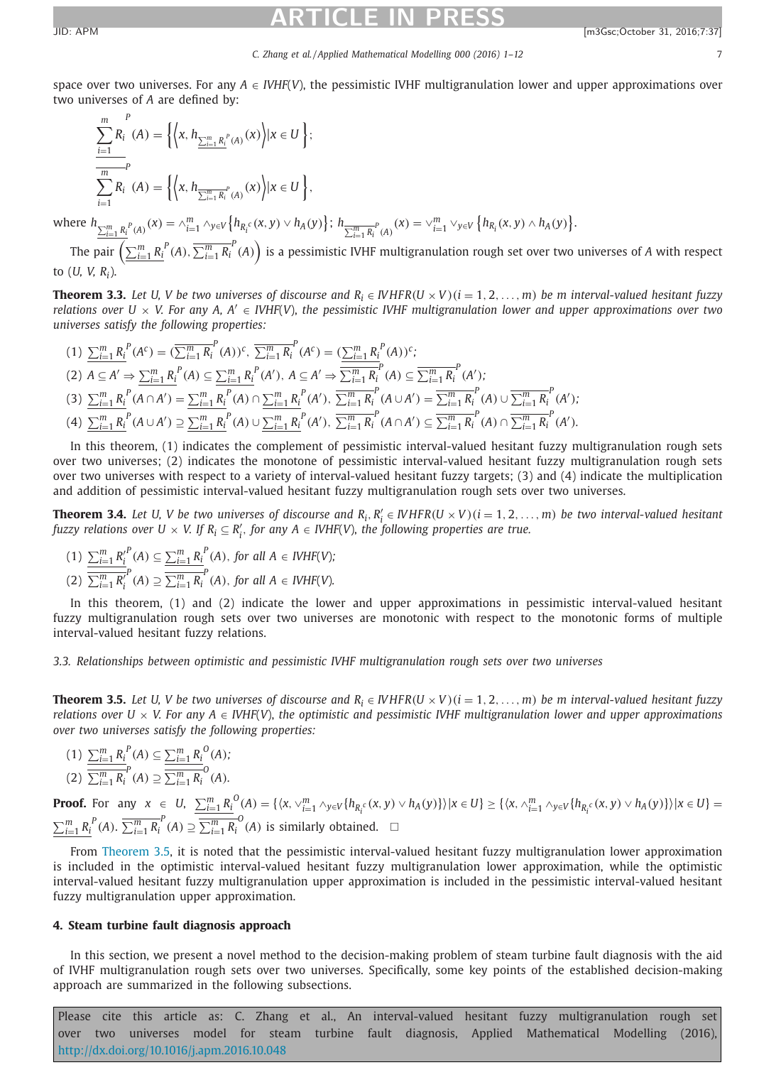#### *C. Zhang et al. / Applied Mathematical Modelling 000 (2016) 1–12* 7

<span id="page-6-0"></span>space over two universes. For any  $A \in VHF(V)$ , the pessimistic IVHF multigranulation lower and upper approximations over two universes of *A* are defined by:

$$
\frac{\sum_{i=1}^{m} R_i^P(A) = \left\{ \left\langle x, h_{\frac{\sum_{i=1}^{m} R_i^P(A)}{A}}(x) \right\rangle | x \in U \right\};}{\sum_{i=1}^{m} P_i^P(A)} = \left\{ \left\langle x, h_{\frac{\sum_{i=1}^{m} R_i^P(A)}{A}}(x) \right\rangle | x \in U \right\},\
$$

where  $h_{\sum_{i=1}^{m} R_i}^P(A_i)}(x) = \lambda_{i=1}^m \wedge_{y \in V} \left\{ h_{R_i^C}(x, y) \vee h_A(y) \right\}; h_{\sum_{i=1}^m R_i^P(A_i)}(x) = \vee_{i=1}^m \vee_{y \in V} \left\{ h_{R_i}(x, y) \wedge h_A(y) \right\}.$ 

The pair  $\left(\sum_{i=1}^mR_i^{\ P}(A),\overline{\sum_{i=1}^mR_i}^P(A)\right)$  is a pessimistic IVHF multigranulation rough set over two universes of *A* with respect to (*U, V, Ri*).

**Theorem 3.3.** Let U, V be two universes of discourse and  $R_i \in IVHFR(U \times V)(i = 1, 2, ..., m)$  be m interval-valued hesitant fuzzy relations over  $U \times V$ . For any A, A'  $\in$  IVHF(V), the pessimistic IVHF multigranulation lower and upper approximations over two *universes satisfy the following properties:*

$$
(1) \sum_{i=1}^{m} {R_i}^P (A^c) = (\overline{\sum_{i=1}^{m} R_i}^P (A))^c, \overline{\sum_{i=1}^{m} R_i}^P (A^c) = (\underline{\sum_{i=1}^{m} R_i}^P (A))^c;
$$
\n
$$
(2) A \subseteq A' \Rightarrow \sum_{i=1}^{m} {R_i}^P (A) \subseteq \underline{\sum_{i=1}^{m} R_i}^P (A'), A \subseteq A' \Rightarrow \overline{\sum_{i=1}^{m} R_i}^P (A) \subseteq \overline{\sum_{i=1}^{m} R_i}^P (A');
$$
\n
$$
(3) \sum_{i=1}^{m} {R_i}^P (A \cap A') = \underline{\sum_{i=1}^{m} R_i}^P (A) \cap \underline{\sum_{i=1}^{m} R_i}^P (A'), \overline{\sum_{i=1}^{m} R_i}^P (A \cup A') = \overline{\sum_{i=1}^{m} R_i}^P (A) \cup \overline{\sum_{i=1}^{m} R_i}^P (A');
$$
\n
$$
(4) \sum_{i=1}^{m} {R_i}^P (A \cup A') \supseteq \underline{\sum_{i=1}^{m} R_i}^P (A) \cup \underline{\sum_{i=1}^{m} R_i}^P (A'), \overline{\sum_{i=1}^{m} R_i}^P (A \cap A') \subseteq \overline{\sum_{i=1}^{m} R_i}^P (A) \cap \overline{\sum_{i=1}^{m} R_i}^P (A').
$$

In this theorem, (1) indicates the complement of pessimistic interval-valued hesitant fuzzy multigranulation rough sets over two universes; (2) indicates the monotone of pessimistic interval-valued hesitant fuzzy multigranulation rough sets over two universes with respect to a variety of interval-valued hesitant fuzzy targets; (3) and (4) indicate the multiplication and addition of pessimistic interval-valued hesitant fuzzy multigranulation rough sets over two universes.

**Theorem 3.4.** Let U, V be two universes of discourse and  $R_i, R'_i \in \text{WHFR}(U \times V)$  ( $i = 1, 2, ..., m$ ) be two interval-valued hesitant fuzzy relations over  $U \times V$ . If  $R_i \subseteq R'_i$ , for any  $A \in IVHF(V)$ , the following properties are true.

(1) 
$$
\frac{\sum_{i=1}^{m} R_i'}{\sum_{i=1}^{m} R_i'}(A) \subseteq \frac{\sum_{i=1}^{m} R_i^P(A), \text{ for all } A \in IVHF(V);
$$
  
(2) 
$$
\frac{\sum_{i=1}^{m} R_i'}{\sum_{i=1}^{m} R_i}(A) \supseteq \frac{\sum_{i=1}^{m} R_i}{\sum_{i=1}^{m} R_i}(A), \text{ for all } A \in IVHF(V).
$$

In this theorem, (1) and (2) indicate the lower and upper approximations in pessimistic interval-valued hesitant fuzzy multigranulation rough sets over two universes are monotonic with respect to the monotonic forms of multiple interval-valued hesitant fuzzy relations.

*3.3. Relationships between optimistic and pessimistic IVHF multigranulation rough sets over two universes*

**Theorem 3.5.** Let U, V be two universes of discourse and  $R_i \in IVHFR(U \times V)(i = 1, 2, ..., m)$  be m interval-valued hesitant fuzzy relations over  $U \times V$ . For any  $A \in IVIF(V)$ , the optimistic and pessimistic IVHF multigranulation lower and upper approximations *over two universes satisfy the following properties:*

$$
(1) \frac{\sum_{i=1}^{m} R_i^P(A) \subseteq \sum_{i=1}^{m} R_i^O(A);}{\sum_{i=1}^{m} R_i^P(A) \supseteq \frac{\sum_{i=1}^{m} R_i^O(A)}{\sum_{i=1}^{m} R_i^O(A)}.
$$

**Proof.** For any  $x \in U$ ,  $\sum_{i=1}^{m} R_i^0(A) = \{ \langle x, \vee_{i=1}^{m} \wedge_{y \in V} \{ h_{R_i^c}(x, y) \vee h_A(y) \} \rangle | x \in U \} \ge \{ \langle x, \wedge_{i=1}^{m} \wedge_{y \in V} \{ h_{R_i^c}(x, y) \vee h_A(y) \} \rangle | x \in U \} =$  $\sum_{i=1}^{m} R_i^P(A)$ .  $\overline{\sum_{i=1}^{m} R_i^P}(A) \supseteq \overline{\sum_{i=1}^{m} R_i^O}(A)$  is similarly obtained.  $\Box$ 

From Theorem 3.5, it is noted that the pessimistic interval-valued hesitant fuzzy multigranulation lower approximation is included in the optimistic interval-valued hesitant fuzzy multigranulation lower approximation, while the optimistic interval-valued hesitant fuzzy multigranulation upper approximation is included in the pessimistic interval-valued hesitant fuzzy multigranulation upper approximation.

### **4. Steam turbine fault diagnosis approach**

In this section, we present a novel method to the decision-making problem of steam turbine fault diagnosis with the aid of IVHF multigranulation rough sets over two universes. Specifically, some key points of the established decision-making approach are summarized in the following subsections.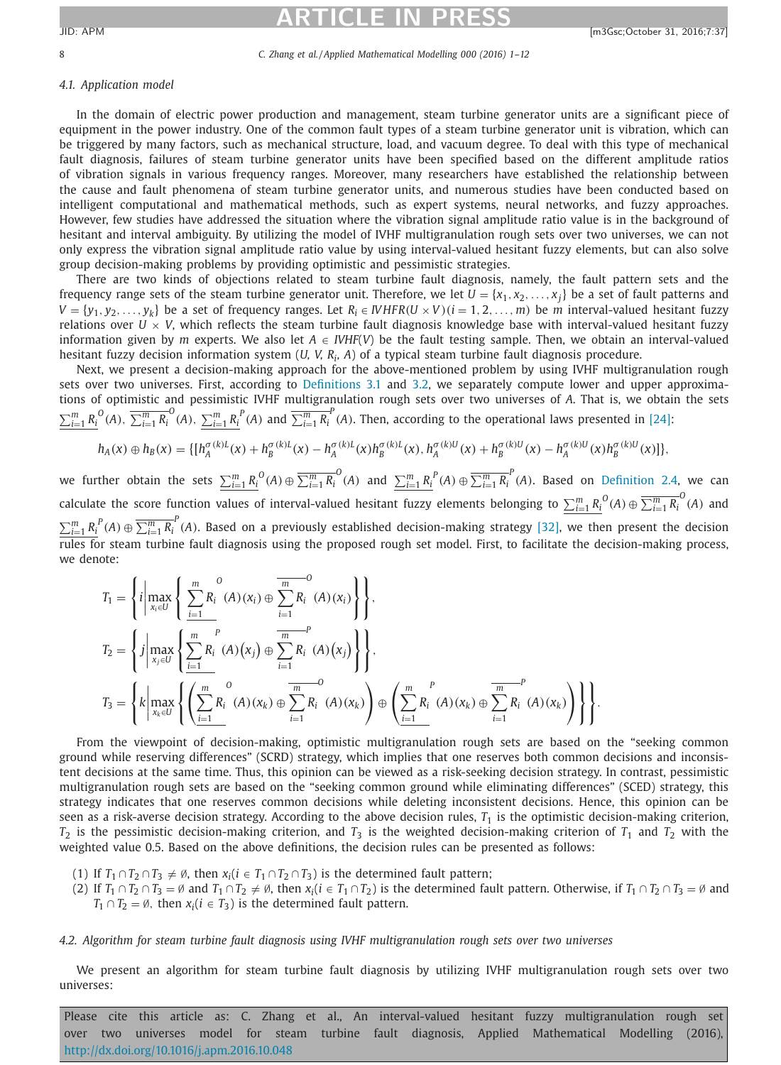### 8 *C. Zhang et al. / Applied Mathematical Modelling 000 (2016) 1–12*

### *4.1. Application model*

In the domain of electric power production and management, steam turbine generator units are a significant piece of equipment in the power industry. One of the common fault types of a steam turbine generator unit is vibration, which can be triggered by many factors, such as mechanical structure, load, and vacuum degree. To deal with this type of mechanical fault diagnosis, failures of steam turbine generator units have been specified based on the different amplitude ratios of vibration signals in various frequency ranges. Moreover, many researchers have established the relationship between the cause and fault phenomena of steam turbine generator units, and numerous studies have been conducted based on intelligent computational and mathematical methods, such as expert systems, neural networks, and fuzzy approaches. However, few studies have addressed the situation where the vibration signal amplitude ratio value is in the background of hesitant and interval ambiguity. By utilizing the model of IVHF multigranulation rough sets over two universes, we can not only express the vibration signal amplitude ratio value by using interval-valued hesitant fuzzy elements, but can also solve group decision-making problems by providing optimistic and pessimistic strategies.

There are two kinds of objections related to steam turbine fault diagnosis, namely, the fault pattern sets and the frequency range sets of the steam turbine generator unit. Therefore, we let  $U = \{x_1, x_2, \ldots, x_j\}$  be a set of fault patterns and  $V = \{y_1, y_2, \ldots, y_k\}$  be a set of frequency ranges. Let  $R_i \in \textit{IVHFR}(U \times V)(i = 1, 2, \ldots, m)$  be *m* interval-valued hesitant fuzzy relations over  $U \times V$ , which reflects the steam turbine fault diagnosis knowledge base with interval-valued hesitant fuzzy information given by *m* experts. We also let *A* ∈ *IVHF*(*V*) be the fault testing sample. Then, we obtain an interval-valued hesitant fuzzy decision information system (*U, V, Ri, A*) of a typical steam turbine fault diagnosis procedure.

Next, we present a decision-making approach for the above-mentioned problem by using IVHF multigranulation rough sets over two universes. First, according to [Definitions](#page-4-0) 3.1 and [3.2,](#page-5-0) we separately compute lower and upper approximations of optimistic and pessimistic IVHF multigranulation rough sets over two universes of *A*. That is, we obtain the sets  $\sum_{i=1}^{m} R_i^{\ O}(A)$ ,  $\overline{\sum_{i=1}^{m} R_i^{\ O}}(A)$ ,  $\sum_{i=1}^{m} R_i^{\ P}(A)$  and  $\overline{\sum_{i=1}^{m} R_i^{\ P}}(A)$ . Then, according to the operational laws presented in [\[24\]:](#page-11-0)

$$
h_A(x) \oplus h_B(x) = \{ [h_A^{\sigma(k)L}(x) + h_B^{\sigma(k)L}(x) - h_A^{\sigma(k)L}(x)h_B^{\sigma(k)L}(x), h_A^{\sigma(k)U}(x) + h_B^{\sigma(k)U}(x) - h_A^{\sigma(k)U}(x)h_B^{\sigma(k)U}(x)] \},
$$

we further obtain the sets  $\sum_{i=1}^m R_i^O(A) \oplus \overline{\sum_{i=1}^m R_i^O}(A)$  and  $\sum_{i=1}^m R_i^P(A) \oplus \overline{\sum_{i=1}^m R_i^O}(A)$ . Based on [Definition](#page-3-0) 2.4, we can calculate the score function values of interval-valued hesitant fuzzy elements belonging to  $\sum_{i=1}^m R_i^{\,O}(A)\oplus \overline{\sum_{i=1}^m R_i^{\,O}}(A)$  and  $\sum_{i=1}^m R_i^P(A) \oplus \overline{\sum_{i=1}^m R_i^P}(A)$ . Based on a previously established decision-making strategy [\[32\],](#page-11-0) we then present the decision <u>Firm</u><br>rules for steam turbine fault diagnosis using the proposed rough set model. First, to facilitate the decision-making process, we denote:

$$
T_{1} = \left\{ i \left| \max_{x_{i} \in U} \left\{ \sum_{i=1}^{m} R_{i}^{O}(A)(x_{i}) \oplus \sum_{i=1}^{m} R_{i}^{O}(A)(x_{i}) \right\} \right\},\right.\\
$$
  
\n
$$
T_{2} = \left\{ i \left| \max_{x_{j} \in U} \left\{ \sum_{i=1}^{m} R_{i}^{O}(A)(x_{j}) \oplus \sum_{i=1}^{m} R_{i}^{O}(A)(x_{j}) \right\} \right\},\right.\\
$$
  
\n
$$
T_{3} = \left\{ k \left| \max_{x_{k} \in U} \left\{ \left( \sum_{i=1}^{m} R_{i}^{O}(A)(x_{k}) \oplus \sum_{i=1}^{m} R_{i}^{O}(A)(x_{k}) \right) \oplus \left( \sum_{i=1}^{m} R_{i}^{O}(A)(x_{k}) \oplus \sum_{i=1}^{m} R_{i}^{O}(A)(x_{k}) \right) \right\} \right\}.
$$

From the viewpoint of decision-making, optimistic multigranulation rough sets are based on the "seeking common ground while reserving differences" (SCRD) strategy, which implies that one reserves both common decisions and inconsistent decisions at the same time. Thus, this opinion can be viewed as a risk-seeking decision strategy. In contrast, pessimistic multigranulation rough sets are based on the "seeking common ground while eliminating differences" (SCED) strategy, this strategy indicates that one reserves common decisions while deleting inconsistent decisions. Hence, this opinion can be seen as a risk-averse decision strategy. According to the above decision rules,  $T_1$  is the optimistic decision-making criterion,  $T_2$  is the pessimistic decision-making criterion, and  $T_3$  is the weighted decision-making criterion of  $T_1$  and  $T_2$  with the weighted value 0.5. Based on the above definitions, the decision rules can be presented as follows:

- (1) If  $T_1 \cap T_2 \cap T_3 \neq \emptyset$ , then  $x_i (i \in T_1 \cap T_2 \cap T_3)$  is the determined fault pattern;
- (2) If  $T_1 \cap T_2 \cap T_3 = \emptyset$  and  $T_1 \cap T_2 \neq \emptyset$ , then  $x_i (i \in T_1 \cap T_2)$  is the determined fault pattern. Otherwise, if  $T_1 \cap T_2 \cap T_3 = \emptyset$  and *T*<sub>1</sub> ∩ *T*<sub>2</sub> =  $\emptyset$ , then *x*<sub>*i*</sub>(*i* ∈ *T*<sub>3</sub>) is the determined fault pattern.

### *4.2. Algorithm for steam turbine fault diagnosis using IVHF multigranulation rough sets over two universes*

We present an algorithm for steam turbine fault diagnosis by utilizing IVHF multigranulation rough sets over two universes: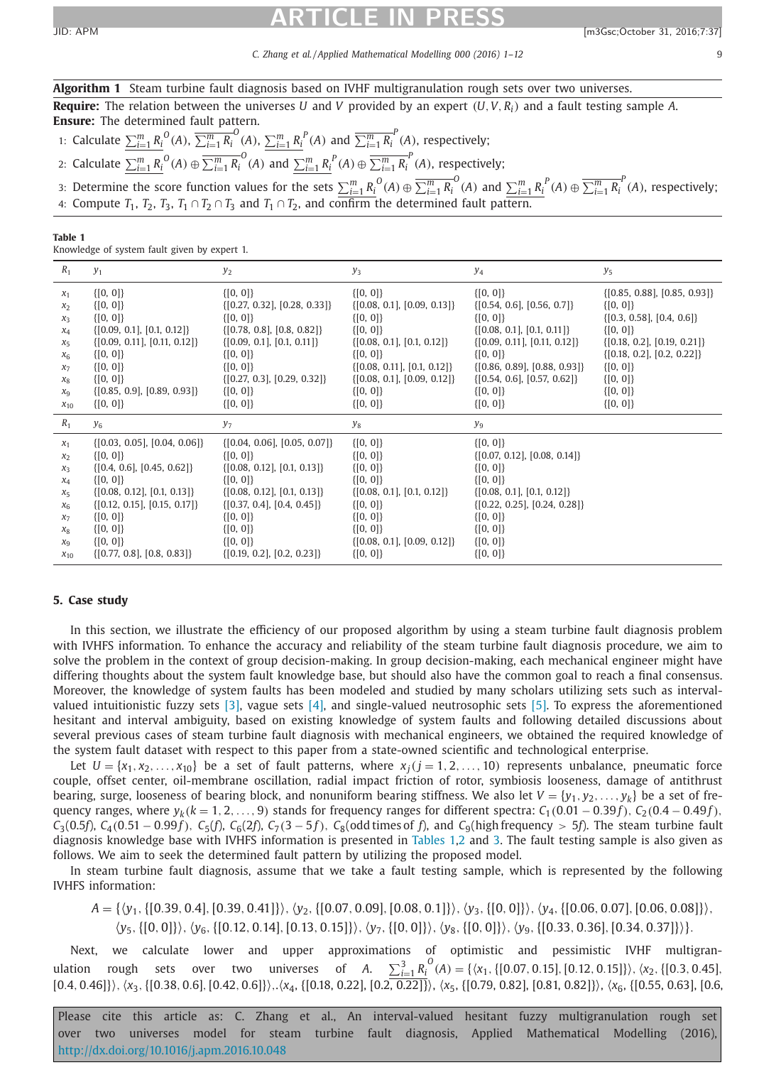<span id="page-8-0"></span>

*C. Zhang et al. / Applied Mathematical Modelling 000 (2016) 1–12* 9

| <b>Algorithm 1</b> Steam turbine fault diagnosis based on IVHF multigranulation rough sets over two universes.               |
|------------------------------------------------------------------------------------------------------------------------------|
| <b>Require:</b> The relation between the universes U and V provided by an expert $(U, V, R_i)$ and a fault testing sample A. |
| <b>Ensure:</b> The determined fault pattern.                                                                                 |

1: Calculate  $\sum_{i=1}^m R_i^0(A)$ ,  $\overline{\sum_{i=1}^m R_i}^0(A)$ ,  $\sum_{i=1}^m R_i^P(A)$  and  $\overline{\sum_{i=1}^m R_i}^P(A)$ , respectively;

2: Calculate  $\sum_{i=1}^m R_i^{\;0}(A) \oplus \overline{\sum_{i=1}^m R_i}^0(A)$  and  $\sum_{i=1}^m R_i^{\;P}(A) \oplus \overline{\sum_{i=1}^m R_i}^P(A)$ , respectively;

3: Determine the score function values for the sets  $\sum_{i=1}^{m} R_i^{\,O}(A) \oplus \overline{\sum_{i=1}^{m} R_i^{\,O}}(A)$  and  $\sum_{i=1}^{m} R_i^{\,P}(A) \oplus \overline{\sum_{i=1}^{m} R_i^{\,P}}(A)$ , respectively; 4: Compute  $T_1$ ,  $T_2$ ,  $T_3$ ,  $T_1 \cap T_2 \cap T_3$  and  $T_1 \cap T_2$ , and confirm the determined fault pattern.

**Table 1**

Knowledge of system fault given by expert 1.

| $R_1$          | $y_1$                                            | $y_2$                                            | $y_3$                           | y <sub>4</sub>                   | $y_5$                            |
|----------------|--------------------------------------------------|--------------------------------------------------|---------------------------------|----------------------------------|----------------------------------|
| $x_1$          | $\{ [0, 0] \}$                                   | $\{ [0, 0] \}$                                   | $\{ [0, 0] \}$                  | $\{ [0, 0] \}$                   | $\{[0.85, 0.88], [0.85, 0.93]\}$ |
| $x_2$          | $\{ [0, 0] \}$                                   | $\{[0.27, 0.32], [0.28, 0.33]\}$                 | $\{[0.08, 0.1], [0.09, 0.13]\}$ | $\{[0.54, 0.6], [0.56, 0.7]\}$   | $\{ [0, 0] \}$                   |
| $x_3$          | $\{ [0, 0] \}$                                   | $\{ [0, 0] \}$                                   | $\{ [0, 0] \}$                  | $\{ [0, 0] \}$                   | $\{[0.3, 0.58], [0.4, 0.6]\}$    |
| $x_4$          | $\{[0.09, 0.1], [0.1, 0.12]\}$                   | $\{[0.78, 0.8], [0.8, 0.82]\}$                   | $\{ [0, 0] \}$                  | $\{[0.08, 0.1], [0.1, 0.11]\}$   | $\{ [0, 0] \}$                   |
| $x_{5}$        | $\{[0.09, 0.11], [0.11, 0.12]\}$                 | $\{[0.09, 0.1], [0.1, 0.11]\}$                   | $\{[0.08, 0.1], [0.1, 0.12]\}$  | $\{[0.09, 0.11], [0.11, 0.12]\}$ | $\{[0.18, 0.2], [0.19, 0.21]\}$  |
| $x_6$          | $\{ [0, 0] \}$                                   | $\{ [0, 0] \}$                                   | $\{ [0, 0] \}$                  | $\{ [0, 0] \}$                   | $\{[0.18, 0.2], [0.2, 0.22]\}$   |
| $x_7$          | $\{ [0, 0] \}$                                   | $\{ [0, 0] \}$                                   | $\{[0.08, 0.11], [0.1, 0.12]\}$ | $\{[0.86, 0.89], [0.88, 0.93]\}$ | $\{ [0, 0] \}$                   |
| $X_8$          | $\{ [0, 0] \}$                                   | $\{[0.27, 0.3], [0.29, 0.32]\}$                  | $\{[0.08, 0.1], [0.09, 0.12]\}$ | $\{[0.54, 0.6], [0.57, 0.62]\}$  | $\{ [0, 0] \}$                   |
| $x_9$          | $\{[0.85, 0.9], [0.89, 0.93]\}$                  | $\{ [0, 0] \}$                                   | $\{ [0, 0] \}$                  | $\{ [0, 0] \}$                   | $\{ [0, 0] \}$                   |
| $x_{10}$       | $\{ [0, 0] \}$                                   | $\{ [0, 0] \}$                                   | $\{ [0, 0] \}$                  | $\{ [0, 0] \}$                   | $\{ [0, 0] \}$                   |
|                |                                                  |                                                  |                                 |                                  |                                  |
| $R_1$          | $y_6$                                            | $y_7$                                            | $y_8$                           | $y_9$                            |                                  |
| $x_1$          | $\{[0.03, 0.05], [0.04, 0.06]\}$                 | $\{[0.04, 0.06], [0.05, 0.07]\}$                 | $\{ [0, 0] \}$                  | $\{ [0, 0] \}$                   |                                  |
| $x_2$          | $\{ [0, 0] \}$                                   | $\{ [0, 0] \}$                                   | $\{ [0, 0] \}$                  | $\{[0.07, 0.12], [0.08, 0.14]\}$ |                                  |
| $X_3$          | $\{[0.4, 0.6], [0.45, 0.62]\}$                   | $\{[0.08, 0.12], [0.1, 0.13]\}$                  | $\{ [0, 0] \}$                  | $\{ [0, 0] \}$                   |                                  |
| $x_4$          | $\{ [0, 0] \}$                                   | $\{ [0, 0] \}$                                   | $\{ [0, 0] \}$                  | $\{ [0, 0] \}$                   |                                  |
| $x_{5}$        | $\{[0.08, 0.12], [0.1, 0.13]\}$                  | $\{[0.08, 0.12], [0.1, 0.13]\}$                  | $\{[0.08, 0.1], [0.1, 0.12]\}$  | $\{[0.08, 0.1], [0.1, 0.12]\}$   |                                  |
| $x_6$          | $\{[0.12, 0.15], [0.15, 0.17]\}$                 | $\{[0.37, 0.4], [0.4, 0.45]\}$                   | $\{ [0, 0] \}$                  | $\{[0.22, 0.25], [0.24, 0.28]\}$ |                                  |
| $x_7$          | $\{ [0, 0] \}$                                   | $\{ [0, 0] \}$                                   | $\{ [0, 0] \}$                  | $\{ [0, 0] \}$                   |                                  |
| $x_8$          | $\{ [0, 0] \}$                                   | $\{ [0, 0] \}$                                   | $\{ [0, 0] \}$                  | $\{ [0, 0] \}$                   |                                  |
| X <sub>9</sub> | $\{ [0, 0] \}$<br>$\{[0.77, 0.8], [0.8, 0.83]\}$ | $\{ [0, 0] \}$<br>$\{[0.19, 0.2], [0.2, 0.23]\}$ | $\{[0.08, 0.1], [0.09, 0.12]\}$ | $\{ [0, 0] \}$<br>$\{ [0, 0] \}$ |                                  |

### **5. Case study**

In this section, we illustrate the efficiency of our proposed algorithm by using a steam turbine fault diagnosis problem with IVHFS information. To enhance the accuracy and reliability of the steam turbine fault diagnosis procedure, we aim to solve the problem in the context of group decision-making. In group decision-making, each mechanical engineer might have differing thoughts about the system fault knowledge base, but should also have the common goal to reach a final consensus. Moreover, the knowledge of system faults has been modeled and studied by many scholars utilizing sets such as intervalvalued intuitionistic fuzzy sets  $[3]$ , vague sets  $[4]$ , and single-valued neutrosophic sets  $[5]$ . To express the aforementioned hesitant and interval ambiguity, based on existing knowledge of system faults and following detailed discussions about several previous cases of steam turbine fault diagnosis with mechanical engineers, we obtained the required knowledge of the system fault dataset with respect to this paper from a state-owned scientific and technological enterprise.

Let  $U = \{x_1, x_2, \ldots, x_{10}\}$  be a set of fault patterns, where  $x_i$  ( $j = 1, 2, \ldots, 10$ ) represents unbalance, pneumatic force couple, offset center, oil-membrane oscillation, radial impact friction of rotor, symbiosis looseness, damage of antithrust bearing, surge, looseness of bearing block, and nonuniform bearing stiffness. We also let  $V = \{y_1, y_2, \ldots, y_k\}$  be a set of frequency ranges, where  $y_k(k = 1, 2, \ldots, 9)$  stands for frequency ranges for different spectra:  $C_1(0.01 - 0.39f)$ ,  $C_2(0.4 - 0.49f)$ ,  $C_3(0.5f)$ ,  $C_4(0.51-0.99f)$ ,  $C_5(f)$ ,  $C_6(2f)$ ,  $C_7(3-5f)$ ,  $C_8(odd times of f)$ , and  $C_9(highfrequency > 5f)$ . The steam turbine fault diagnosis knowledge base with IVHFS information is presented in Tables 1[,2](#page-9-0) and [3.](#page-9-0) The fault testing sample is also given as follows. We aim to seek the determined fault pattern by utilizing the proposed model.

In steam turbine fault diagnosis, assume that we take a fault testing sample, which is represented by the following IVHFS information:

*A* = {*y*1,{[0.39, 0.4],[0.39, 0.41]},*y*2,{[0.07, 0.09],[0.08, 0.1]},*y*3,{[0, 0]},*y*4,{[0.06, 0.07],[0.06, 0.08]},

*y*5,{[0, 0]},*y*6,{[0.12, 0.14],[0.13, 0.15]},*y*7,{[0, 0]},*y*8,{[0, 0]},*y*9,{[0.33, 0.36],[0.34, 0.37]}}.

Next, we calculate lower and upper approximations of optimistic and pessimistic IVHF multigranulation rough sets over two universes of *A*.  $\sum_{i=1}^{3} R_i^O(A) = \{ \langle x_1, \{ [0.07, 0.15], [0.12, 0.15] \} \rangle, \langle x_2, \{ [0.3, 0.45],$ [0.4, 0.46]},*x*3,{[0.38, 0.6],[0.42, 0.6]},.*x*4, {[0.18, 0.22], [0.2, 0.22]}, *x*5, {[0.79, 0.82], [0.81, 0.82]}, *x*6, {[0.55, 0.63], [0.6,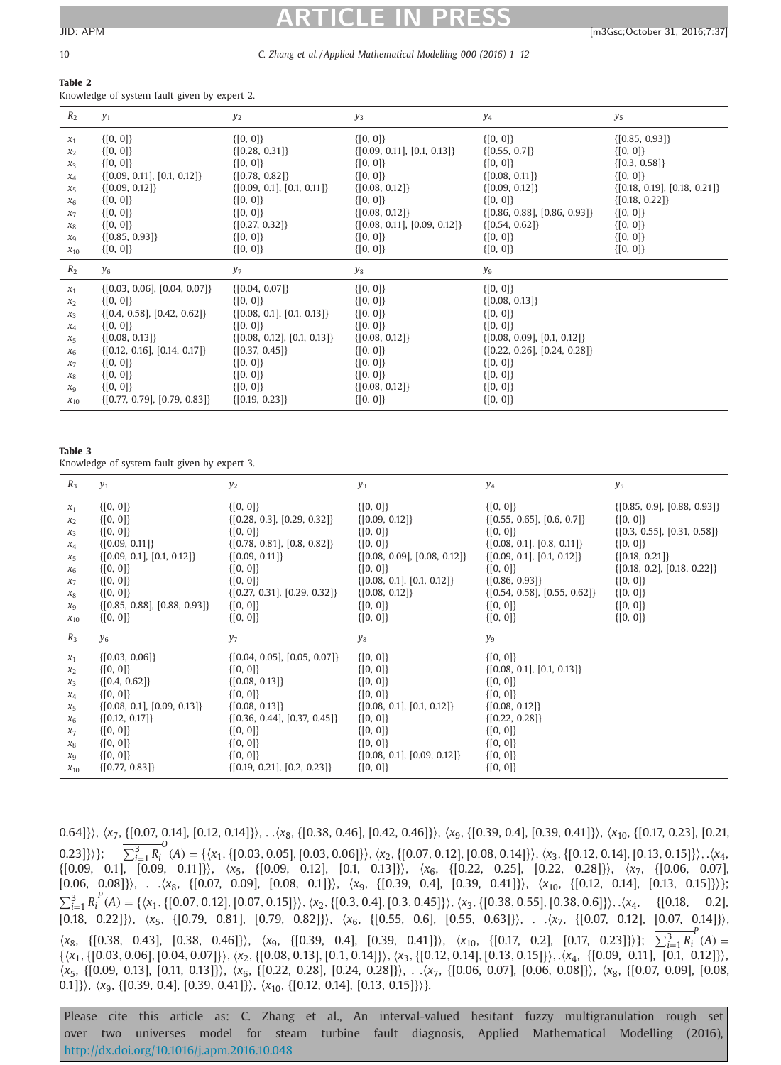### <span id="page-9-0"></span>10 *C. Zhang et al. / Applied Mathematical Modelling 000 (2016) 1–12*

### **Table 2**

Knowledge of system fault given by expert 2.

| $R_2$          | $y_1$                            | $y_2$                           | $y_3$                            | y <sub>4</sub>                   | y5                               |
|----------------|----------------------------------|---------------------------------|----------------------------------|----------------------------------|----------------------------------|
| $x_1$          | $\{ [0, 0] \}$                   | $\{ [0, 0] \}$                  | $\{ [0, 0] \}$                   | $\{ [0, 0] \}$                   | $\{[0.85, 0.93]\}$               |
| x <sub>2</sub> | $\{ [0, 0] \}$                   | $\{[0.28, 0.31]\}$              | $\{[0.09, 0.11], [0.1, 0.13]\}$  | $\{[0.55, 0.7]\}$                | $\{ [0, 0] \}$                   |
| $X_3$          | $\{ [0, 0] \}$                   | $\{ [0, 0] \}$                  | $\{ [0, 0] \}$                   | $\{ [0, 0] \}$                   | $\{[0.3, 0.58]\}$                |
| $x_4$          | $\{[0.09, 0.11], [0.1, 0.12]\}$  | $\{[0.78, 0.82]\}$              | $\{ [0, 0] \}$                   | $\{[0.08, 0.11]\}$               | $\{ [0, 0] \}$                   |
| $X_5$          | $\{[0.09, 0.12]\}$               | $\{[0.09, 0.1], [0.1, 0.11]\}$  | $\{[0.08, 0.12]\}$               | $\{[0.09, 0.12]\}$               | $\{[0.18, 0.19], [0.18, 0.21]\}$ |
| $X_6$          | $\{ [0, 0] \}$                   | $\{ [0, 0] \}$                  | $\{ [0, 0] \}$                   | $\{ [0, 0] \}$                   | $\{[0.18, 0.22]\}$               |
| $x_7$          | $\{ [0, 0] \}$                   | $\{ [0, 0] \}$                  | $\{[0.08, 0.12]\}$               | $\{[0.86, 0.88], [0.86, 0.93]\}$ | $\{ [0, 0] \}$                   |
| $\chi_{\rm g}$ | $\{ [0, 0] \}$                   | $\{[0.27, 0.32]\}$              | $\{[0.08, 0.11], [0.09, 0.12]\}$ | $\{[0.54, 0.62]\}$               | $\{ [0, 0] \}$                   |
| $x_9$          | $\{[0.85, 0.93]\}$               | $\{ [0, 0] \}$                  | $\{ [0, 0] \}$                   | $\{ [0, 0] \}$                   | $\{ [0, 0] \}$                   |
| $x_{10}$       | $\{ [0, 0] \}$                   | $\{ [0, 0] \}$                  | $\{[0, 0]\}$                     | $\{ [0, 0] \}$                   | $\{ [0, 0] \}$                   |
| $R_2$          | $y_6$                            | $y_7$                           | $y_8$                            | y <sub>9</sub>                   |                                  |
| $x_1$          | $\{[0.03, 0.06], [0.04, 0.07]\}$ | $\{[0.04, 0.07]\}$              | $\{ [0, 0] \}$                   | $\{ [0, 0] \}$                   |                                  |
| x <sub>2</sub> | $\{ [0, 0] \}$                   | $\{ [0, 0] \}$                  | $\{ [0, 0] \}$                   | $\{[0.08, 0.13]\}$               |                                  |
| $X_3$          | $\{[0.4, 0.58], [0.42, 0.62]\}$  | $\{[0.08, 0.1], [0.1, 0.13]\}$  | $\{ [0, 0] \}$                   | $\{ [0, 0] \}$                   |                                  |
| $x_4$          | $\{ [0, 0] \}$                   | $\{ [0, 0] \}$                  | $\{ [0, 0] \}$                   | $\{ [0, 0] \}$                   |                                  |
| $X_5$          | $\{[0.08, 0.13]\}$               | $\{[0.08, 0.12], [0.1, 0.13]\}$ | $\{[0.08, 0.12]\}$               | $\{[0.08, 0.09], [0.1, 0.12]\}$  |                                  |
| $X_6$          | $\{[0.12, 0.16], [0.14, 0.17]\}$ | $\{[0.37, 0.45]\}$              | $\{ [0, 0] \}$                   | $\{[0.22, 0.26], [0.24, 0.28]\}$ |                                  |
| $x_7$          | $\{ [0, 0] \}$                   | $\{ [0, 0] \}$                  | $\{ [0, 0] \}$                   | $\{ [0, 0] \}$                   |                                  |
| $X_8$          | $\{ [0, 0] \}$                   | $\{ [0, 0] \}$                  | $\{ [0, 0] \}$                   | $\{ [0, 0] \}$                   |                                  |
| X <sub>9</sub> | $\{ [0, 0] \}$                   | $\{ [0, 0] \}$                  | $\{[0.08, 0.12]\}$               | $\{ [0, 0] \}$                   |                                  |
| $x_{10}$       | $\{[0.77, 0.79], [0.79, 0.83]\}$ | $\{[0.19, 0.23]\}$              | $\{ [0, 0] \}$                   | $\{ [0, 0] \}$                   |                                  |

### **Table 3**

Knowledge of system fault given by expert 3.

| $R_3$                                                                                                            | $y_1$                                                                                                                                                                                                                  | $y_2$                                                                                                                                                                                                                                    | $y_3$                                                                                                                                                                                                                      | $y_4$                                                                                                                                                                                                                                                  | $y_5$                                                                                                                                                                                                                                   |
|------------------------------------------------------------------------------------------------------------------|------------------------------------------------------------------------------------------------------------------------------------------------------------------------------------------------------------------------|------------------------------------------------------------------------------------------------------------------------------------------------------------------------------------------------------------------------------------------|----------------------------------------------------------------------------------------------------------------------------------------------------------------------------------------------------------------------------|--------------------------------------------------------------------------------------------------------------------------------------------------------------------------------------------------------------------------------------------------------|-----------------------------------------------------------------------------------------------------------------------------------------------------------------------------------------------------------------------------------------|
| $x_1$<br>$x_{2}$<br>$\chi_3$<br>$x_4$<br>$X_5$<br>$X_6$<br>$x_7$<br>$\chi_{\rm g}$<br>X <sub>9</sub><br>$x_{10}$ | $\{ [0, 0] \}$<br>$\{ [0, 0] \}$<br>$\{ [0, 0] \}$<br>$\{[0.09, 0.11]\}$<br>$\{[0.09, 0.1], [0.1, 0.12]\}$<br>$\{ [0, 0] \}$<br>$\{ [0, 0] \}$<br>$\{ [0, 0] \}$<br>$\{[0.85, 0.88], [0.88, 0.93]\}$<br>$\{ [0, 0] \}$ | $\{ [0, 0] \}$<br>$\{[0.28, 0.3], [0.29, 0.32]\}$<br>$\{ [0, 0] \}$<br>$\{[0.78, 0.81], [0.8, 0.82]\}$<br>$\{[0.09, 0.11]\}$<br>$\{ [0, 0] \}$<br>$\{ [0, 0] \}$<br>$\{[0.27, 0.31], [0.29, 0.32]\}$<br>$\{ [0, 0] \}$<br>$\{ [0, 0] \}$ | $\{ [0, 0] \}$<br>$\{[0.09, 0.12]\}$<br>$\{ [0, 0] \}$<br>$\{ [0, 0] \}$<br>$\{[0.08, 0.09], [0.08, 0.12]\}$<br>$\{ [0, 0] \}$<br>$\{[0.08, 0.1], [0.1, 0.12]\}$<br>$\{[0.08, 0.12]\}$<br>$\{ [0, 0] \}$<br>$\{ [0, 0] \}$ | $\{ [0, 0] \}$<br>$\{[0.55, 0.65], [0.6, 0.7]\}$<br>$\{ [0, 0] \}$<br>$\{[0.08, 0.1], [0.8, 0.11]\}$<br>$\{[0.09, 0.1], [0.1, 0.12]\}$<br>$\{ [0, 0] \}$<br>$\{[0.86, 0.93]\}$<br>$\{[0.54, 0.58], [0.55, 0.62]\}$<br>$\{ [0, 0] \}$<br>$\{ [0, 0] \}$ | $\{[0.85, 0.9], [0.88, 0.93]\}$<br>$\{ [0, 0] \}$<br>$\{[0.3, 0.55], [0.31, 0.58]\}$<br>$\{ [0, 0] \}$<br>$\{[0.18, 0.21]\}$<br>$\{[0.18, 0.2], [0.18, 0.22]\}$<br>$\{ [0, 0] \}$<br>$\{ [0, 0] \}$<br>$\{ [0, 0] \}$<br>$\{ [0, 0] \}$ |
| $R_3$                                                                                                            | $y_6$                                                                                                                                                                                                                  | $y_7$                                                                                                                                                                                                                                    | y <sub>8</sub>                                                                                                                                                                                                             | y9                                                                                                                                                                                                                                                     |                                                                                                                                                                                                                                         |
| $x_1$<br>$x_2$<br>$x_3$<br>$X_4$<br>$x_{5}$                                                                      | $\{[0.03, 0.06]\}$<br>$\{ [0, 0] \}$<br>$\{[0.4, 0.62]\}$<br>$\{ [0, 0] \}$<br>$\{[0.08, 0.1], [0.09, 0.13]\}$                                                                                                         | $\{[0.04, 0.05], [0.05, 0.07]\}$<br>$\{ [0, 0] \}$<br>$\{[0.08, 0.13]\}$<br>$\{ [0, 0] \}$                                                                                                                                               | $\{ [0, 0] \}$<br>$\{ [0, 0] \}$<br>$\{ [0, 0] \}$<br>$\{ [0, 0] \}$                                                                                                                                                       | $\{ [0, 0] \}$<br>$\{[0.08, 0.1], [0.1, 0.13]\}$<br>$\{ [0, 0] \}$<br>$\{ [0, 0] \}$                                                                                                                                                                   |                                                                                                                                                                                                                                         |

0.64]}, *x*7, {[0.07, 0.14], [0.12, 0.14]}, . .*x*8, {[0.38, 0.46], [0.42, 0.46]}, *x*9, {[0.39, 0.4], [0.39, 0.41]}, *x*10, {[0.17, 0.23], [0.21,  $\overline{\sum_{i=1}^{3} R_i}^0(A) = \{\langle x_1, \{[0.03, 0.05], [0.03, 0.06]\}\rangle, \langle x_2, \{[0.07, 0.12], [0.08, 0.14]\}\rangle, \langle x_3, \{[0.12, 0.14], [0.13, 0.15]\}\rangle, .\langle x_4, \{[0.03, 0.05], [0.03, 0.06]\}\rangle,$ {[0.09, 0.1], [0.09, 0.11]}, *x*5, {[0.09, 0.12], [0.1, 0.13]}, *x*6, {[0.22, 0.25], [0.22, 0.28]}, *x*7, {[0.06, 0.07],  $[0.06, 0.08] \rangle$ , . . $\langle x_8, \{[0.07, 0.09], [0.08, 0.1] \rangle$ ,  $\langle x_9, \{[0.39, 0.4], [0.39, 0.41] \} \rangle$ ,  $\langle x_{10}, \{[0.12, 0.14], [0.13, 0.15] \} \rangle$ ;  $\sum_{i=1}^{3} R_i^P(A) = \{ \langle x_1, \{ [0.07, 0.12], [0.07, 0.15] \} \rangle, \langle x_2, \{ [0.3, 0.4], [0.3, 0.45] \} \rangle, \langle x_3, \{ [0.38, 0.55], [0.38, 0.6] \} \rangle, . \langle x_4, \{ [0.18, 0.2], [0.38, 0.6] \} \rangle$  $\overline{[0.18, 0.22]}$ },  $\langle x_5, \{[0.79, 0.81], [0.79, 0.82] \}\rangle$ ,  $\langle x_6, \{[0.55, 0.6], [0.55, 0.63] \}\rangle$ , . . $\langle x_7, \{[0.07, 0.12], [0.07, 0.14] \}\rangle$  $\langle x_8, \{ [0.38, 0.43], [0.38, 0.46] \} \rangle$ ,  $\langle x_9, \{ [0.39, 0.4], [0.39, 0.41] \} \rangle$ ,  $\langle x_{10}, \{ [0.17, 0.2], [0.17, 0.23] \} \rangle$ ;  $\overline{\sum_{i=1}^3 R_i^p}(A) =$ {*x*1,{[0.03, 0.06],[0.04, 0.07]},*x*2,{[0.08, 0.13],[0.1, 0.14]},*x*3,{[0.12, 0.14],[0.13, 0.15]},.*x*4, {[0.09, 0.11], [0.1, 0.12]}, *x*5, {[0.09, 0.13], [0.11, 0.13]}, *x*6, {[0.22, 0.28], [0.24, 0.28]}, . .*x*7, {[0.06, 0.07], [0.06, 0.08]}, *x*8, {[0.07, 0.09], [0.08, 0.1]}),  $\langle x_9, \{ [0.39, 0.4], [0.39, 0.41] \} \rangle$ ,  $\langle x_{10}, \{ [0.12, 0.14], [0.13, 0.15] \} \rangle$ .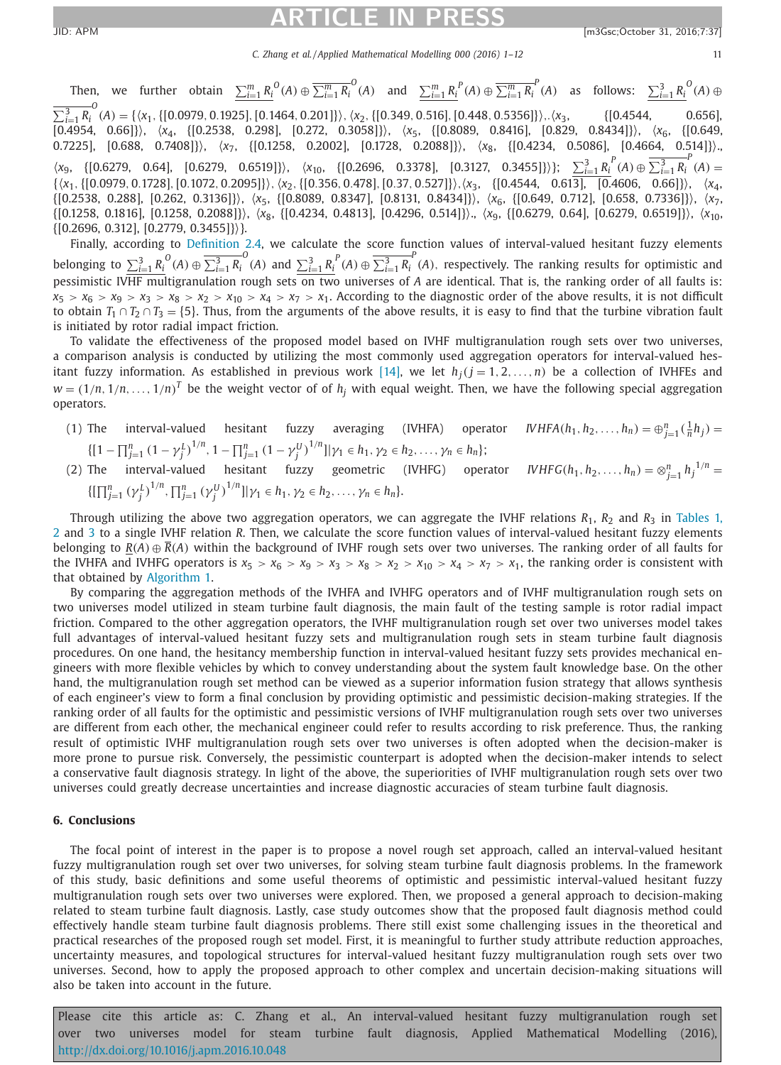*C. Zhang et al. / Applied Mathematical Modelling 000 (2016) 1–12* 11

<span id="page-10-0"></span>Then, we further obtain  $\sum_{i=1}^{m} R_i^{\;0}(A) \oplus \overline{\sum_{i=1}^{m} R_i^{\;0}}(A)$  and  $\sum_{i=1}^{m} R_i^{\;P}(A) \oplus \overline{\sum_{i=1}^{m} R_i^{\;P}}(A)$  as follows:  $\sum_{i=1}^{3} R_i^{\;0}(A) \oplus$  $\overline{\sum_{i=1}^{3} R_i^0}(A) = \{\langle x_1, \{[0.0979, 0.1925], [0.1464, 0.201]\}\rangle, \langle x_2, \{[0.349, 0.516], [0.448, 0.5356]\}\rangle, \langle x_3,$  {[0.4544, 0.656], [0.4954, 0.66]}, *x*4, {[0.2538, 0.298], [0.272, 0.3058]}, *x*5, {[0.8089, 0.8416], [0.829, 0.8434]}, *x*6, {[0.649, 0.7225], [0.688, 0.7408]}, *x*7, {[0.1258, 0.2002], [0.1728, 0.2088]}, *x*8, {[0.4234, 0.5086], [0.4664, 0.514]}.,  $\langle x_9, \{[0.6279, 0.64], [0.6279, 0.6519]\}\rangle$ ,  $\langle x_{10}, \{[0.2696, 0.3378], [0.3127, 0.3455]\}\rangle$ ;  $\sum_{i=1}^3 R_i^P(A) \oplus \overline{\sum_{i=1}^3 R_i^P(A)}$ {*x*1,{[0.0979, 0.1728],[0.1072, 0.2095]},*x*2,{[0.356, 0.478],[0.37, 0.527]},*x*3, {[0.4544, 0.613], [0.4606, 0.66]}, *x*4, {[0.2538, 0.288], [0.262, 0.3136]}, *x*5, {[0.8089, 0.8347], [0.8131, 0.8434]}, *x*6, {[0.649, 0.712], [0.658, 0.7336]}, *x*7, {[0.1258, 0.1816], [0.1258, 0.2088]}, *x*8, {[0.4234, 0.4813], [0.4296, 0.514]}., *x*9, {[0.6279, 0.64], [0.6279, 0.6519]}, *x*10,  $\{[0.2696, 0.312], [0.2779, 0.3455]\}\.$ 

Finally, according to [Definition](#page-3-0) 2.4, we calculate the score function values of interval-valued hesitant fuzzy elements belonging to  $\sum_{i=1}^{3} R_i^{\,0}(A) \oplus \overline{\sum_{i=1}^{3} R_i^{\,0}}(A)$  and  $\sum_{i=1}^{3} R_i^{\,P}(A) \oplus \overline{\sum_{i=1}^{3} R_i^{\,P}}(A)$ , respectively. The ranking results for optimistic and pessimistic IVHF multigranulation rough sets on two universes of *A* are identical. That is, the ranking order of all faults is:  $x_5 > x_6 > x_9 > x_3 > x_8 > x_2 > x_{10} > x_4 > x_7 > x_1$ . According to the diagnostic order of the above results, it is not difficult to obtain  $T_1 \cap T_2 \cap T_3 = \{5\}$ . Thus, from the arguments of the above results, it is easy to find that the turbine vibration fault is initiated by rotor radial impact friction.

To validate the effectiveness of the proposed model based on IVHF multigranulation rough sets over two universes, a comparison analysis is conducted by utilizing the most commonly used aggregation operators for interval-valued hes-itant fuzzy information. As established in previous work [\[14\],](#page-11-0) we let  $h_j(j = 1, 2, ..., n)$  be a collection of IVHFEs and  $w = (1/n, 1/n, \ldots, 1/n)^T$  be the weight vector of of  $h_j$  with equal weight. Then, we have the following special aggregation operators.

- (1) The interval-valued hesitant fuzzy averaging (IVHFA) operator *IVHFA*( $h_1, h_2, \ldots, h_n$ ) =  $\bigoplus_{j=1}^n (\frac{1}{n}h_j)$  =  $\{[1 - \prod_{j=1}^n (1 - \gamma_j^L)^{1/n}, 1 - \prod_{j=1}^n (1 - \gamma_j^U)^{1/n}] | \gamma_1 \in h_1, \gamma_2 \in h_2, \ldots, \gamma_n \in h_n\};\$
- (2) The interval-valued hesitant fuzzy geometric (IVHFG) operator *IVHFG*( $h_1, h_2, \ldots, h_n$ ) =  $\otimes_{j=1}^n h_j^{1/n}$  =  $\{[\prod_{j=1}^{n} (\gamma_j^L)^{1/n}, \prod_{j=1}^{n} (\gamma_j^U)^{1/n}]\ |\ \gamma_1 \in h_1, \gamma_2 \in h_2, \ldots, \gamma_n \in h_n\}.$

Through utilizing the above two aggregation operators, we can aggregate the IVHF relations  $R_1$ ,  $R_2$  and  $R_3$  in Tables 1, 2 and [3](#page-9-0) to a single IVHF relation *R*. Then, we calculate the score function values of [interval-valued](#page-8-0) hesitant fuzzy elements belonging to  $\underline{R}(A) \oplus R(A)$  within the background of IVHF rough sets over two universes. The ranking order of all faults for the IVHFA and IVHFG operators is  $x_5 > x_6 > x_9 > x_3 > x_8 > x_2 > x_{10} > x_4 > x_7 > x_1$ , the ranking order is consistent with that obtained by [Algorithm](#page-8-0) 1.

By comparing the aggregation methods of the IVHFA and IVHFG operators and of IVHF multigranulation rough sets on two universes model utilized in steam turbine fault diagnosis, the main fault of the testing sample is rotor radial impact friction. Compared to the other aggregation operators, the IVHF multigranulation rough set over two universes model takes full advantages of interval-valued hesitant fuzzy sets and multigranulation rough sets in steam turbine fault diagnosis procedures. On one hand, the hesitancy membership function in interval-valued hesitant fuzzy sets provides mechanical engineers with more flexible vehicles by which to convey understanding about the system fault knowledge base. On the other hand, the multigranulation rough set method can be viewed as a superior information fusion strategy that allows synthesis of each engineer's view to form a final conclusion by providing optimistic and pessimistic decision-making strategies. If the ranking order of all faults for the optimistic and pessimistic versions of IVHF multigranulation rough sets over two universes are different from each other, the mechanical engineer could refer to results according to risk preference. Thus, the ranking result of optimistic IVHF multigranulation rough sets over two universes is often adopted when the decision-maker is more prone to pursue risk. Conversely, the pessimistic counterpart is adopted when the decision-maker intends to select a conservative fault diagnosis strategy. In light of the above, the superiorities of IVHF multigranulation rough sets over two universes could greatly decrease uncertainties and increase diagnostic accuracies of steam turbine fault diagnosis.

### **6. Conclusions**

The focal point of interest in the paper is to propose a novel rough set approach, called an interval-valued hesitant fuzzy multigranulation rough set over two universes, for solving steam turbine fault diagnosis problems. In the framework of this study, basic definitions and some useful theorems of optimistic and pessimistic interval-valued hesitant fuzzy multigranulation rough sets over two universes were explored. Then, we proposed a general approach to decision-making related to steam turbine fault diagnosis. Lastly, case study outcomes show that the proposed fault diagnosis method could effectively handle steam turbine fault diagnosis problems. There still exist some challenging issues in the theoretical and practical researches of the proposed rough set model. First, it is meaningful to further study attribute reduction approaches, uncertainty measures, and topological structures for interval-valued hesitant fuzzy multigranulation rough sets over two universes. Second, how to apply the proposed approach to other complex and uncertain decision-making situations will also be taken into account in the future.